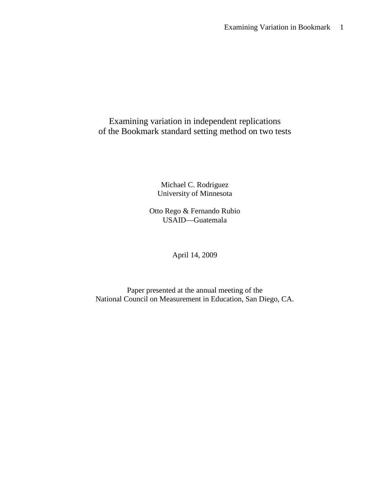# Examining variation in independent replications of the Bookmark standard setting method on two tests

Michael C. Rodriguez University of Minnesota

Otto Rego & Fernando Rubio USAID—Guatemala

April 14, 2009

Paper presented at the annual meeting of the National Council on Measurement in Education, San Diego, CA.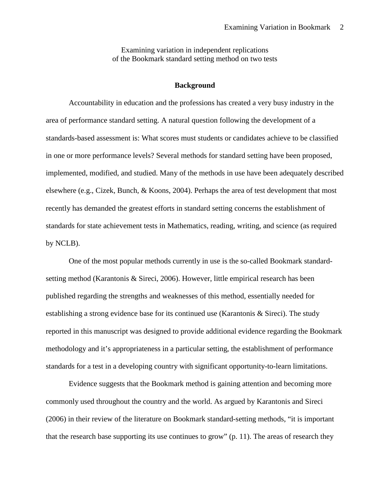Examining variation in independent replications of the Bookmark standard setting method on two tests

### **Background**

Accountability in education and the professions has created a very busy industry in the area of performance standard setting. A natural question following the development of a standards-based assessment is: What scores must students or candidates achieve to be classified in one or more performance levels? Several methods for standard setting have been proposed, implemented, modified, and studied. Many of the methods in use have been adequately described elsewhere (e.g., Cizek, Bunch, & Koons, 2004). Perhaps the area of test development that most recently has demanded the greatest efforts in standard setting concerns the establishment of standards for state achievement tests in Mathematics, reading, writing, and science (as required by NCLB).

One of the most popular methods currently in use is the so-called Bookmark standardsetting method (Karantonis & Sireci, 2006). However, little empirical research has been published regarding the strengths and weaknesses of this method, essentially needed for establishing a strong evidence base for its continued use (Karantonis & Sireci). The study reported in this manuscript was designed to provide additional evidence regarding the Bookmark methodology and it's appropriateness in a particular setting, the establishment of performance standards for a test in a developing country with significant opportunity-to-learn limitations.

Evidence suggests that the Bookmark method is gaining attention and becoming more commonly used throughout the country and the world. As argued by Karantonis and Sireci (2006) in their review of the literature on Bookmark standard-setting methods, "it is important that the research base supporting its use continues to grow" (p. 11). The areas of research they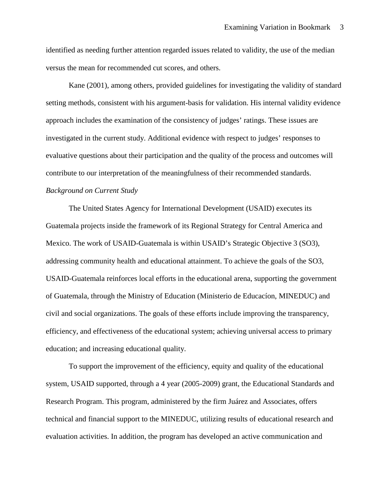identified as needing further attention regarded issues related to validity, the use of the median versus the mean for recommended cut scores, and others.

Kane (2001), among others, provided guidelines for investigating the validity of standard setting methods, consistent with his argument-basis for validation. His internal validity evidence approach includes the examination of the consistency of judges' ratings. These issues are investigated in the current study. Additional evidence with respect to judges' responses to evaluative questions about their participation and the quality of the process and outcomes will contribute to our interpretation of the meaningfulness of their recommended standards. *Background on Current Study*

The United States Agency for International Development (USAID) executes its Guatemala projects inside the framework of its Regional Strategy for Central America and Mexico. The work of USAID-Guatemala is within USAID's Strategic Objective 3 (SO3), addressing community health and educational attainment. To achieve the goals of the SO3, USAID-Guatemala reinforces local efforts in the educational arena, supporting the government of Guatemala, through the Ministry of Education (Ministerio de Educacíon, MINEDUC) and civil and social organizations. The goals of these efforts include improving the transparency, efficiency, and effectiveness of the educational system; achieving universal access to primary education; and increasing educational quality.

To support the improvement of the efficiency, equity and quality of the educational system, USAID supported, through a 4 year (2005-2009) grant, the Educational Standards and Research Program. This program, administered by the firm Juárez and Associates, offers technical and financial support to the MINEDUC, utilizing results of educational research and evaluation activities. In addition, the program has developed an active communication and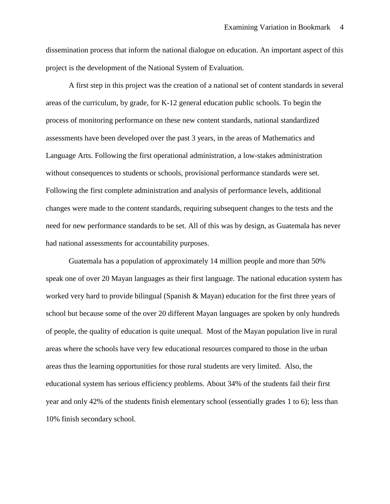dissemination process that inform the national dialogue on education. An important aspect of this project is the development of the National System of Evaluation.

A first step in this project was the creation of a national set of content standards in several areas of the curriculum, by grade, for K-12 general education public schools. To begin the process of monitoring performance on these new content standards, national standardized assessments have been developed over the past 3 years, in the areas of Mathematics and Language Arts. Following the first operational administration, a low-stakes administration without consequences to students or schools, provisional performance standards were set. Following the first complete administration and analysis of performance levels, additional changes were made to the content standards, requiring subsequent changes to the tests and the need for new performance standards to be set. All of this was by design, as Guatemala has never had national assessments for accountability purposes.

Guatemala has a population of approximately 14 million people and more than 50% speak one of over 20 Mayan languages as their first language. The national education system has worked very hard to provide bilingual (Spanish & Mayan) education for the first three years of school but because some of the over 20 different Mayan languages are spoken by only hundreds of people, the quality of education is quite unequal. Most of the Mayan population live in rural areas where the schools have very few educational resources compared to those in the urban areas thus the learning opportunities for those rural students are very limited. Also, the educational system has serious efficiency problems. About 34% of the students fail their first year and only 42% of the students finish elementary school (essentially grades 1 to 6); less than 10% finish secondary school.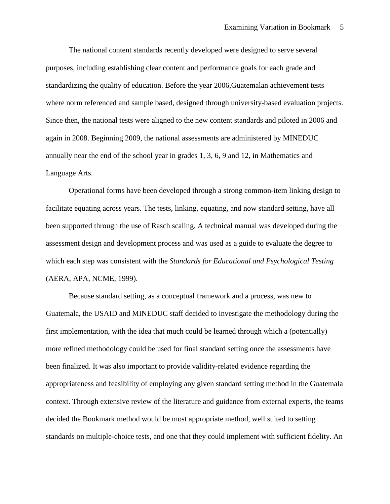The national content standards recently developed were designed to serve several purposes, including establishing clear content and performance goals for each grade and standardizing the quality of education. Before the year 2006,Guatemalan achievement tests where norm referenced and sample based, designed through university-based evaluation projects. Since then, the national tests were aligned to the new content standards and piloted in 2006 and again in 2008. Beginning 2009, the national assessments are administered by MINEDUC annually near the end of the school year in grades 1, 3, 6, 9 and 12, in Mathematics and Language Arts.

Operational forms have been developed through a strong common-item linking design to facilitate equating across years. The tests, linking, equating, and now standard setting, have all been supported through the use of Rasch scaling. A technical manual was developed during the assessment design and development process and was used as a guide to evaluate the degree to which each step was consistent with the *Standards for Educational and Psychological Testing* (AERA, APA, NCME, 1999).

Because standard setting, as a conceptual framework and a process, was new to Guatemala, the USAID and MINEDUC staff decided to investigate the methodology during the first implementation, with the idea that much could be learned through which a (potentially) more refined methodology could be used for final standard setting once the assessments have been finalized. It was also important to provide validity-related evidence regarding the appropriateness and feasibility of employing any given standard setting method in the Guatemala context. Through extensive review of the literature and guidance from external experts, the teams decided the Bookmark method would be most appropriate method, well suited to setting standards on multiple-choice tests, and one that they could implement with sufficient fidelity. An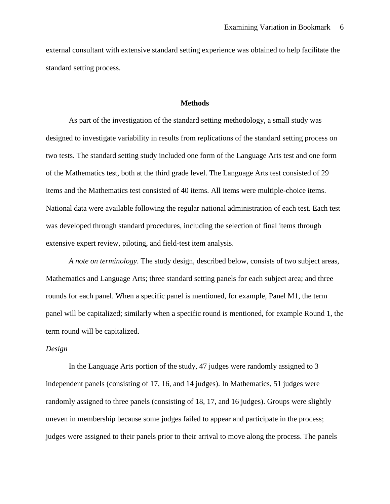external consultant with extensive standard setting experience was obtained to help facilitate the standard setting process.

#### **Methods**

As part of the investigation of the standard setting methodology, a small study was designed to investigate variability in results from replications of the standard setting process on two tests. The standard setting study included one form of the Language Arts test and one form of the Mathematics test, both at the third grade level. The Language Arts test consisted of 29 items and the Mathematics test consisted of 40 items. All items were multiple-choice items. National data were available following the regular national administration of each test. Each test was developed through standard procedures, including the selection of final items through extensive expert review, piloting, and field-test item analysis.

*A note on terminology*. The study design, described below, consists of two subject areas, Mathematics and Language Arts; three standard setting panels for each subject area; and three rounds for each panel. When a specific panel is mentioned, for example, Panel M1, the term panel will be capitalized; similarly when a specific round is mentioned, for example Round 1, the term round will be capitalized.

### *Design*

In the Language Arts portion of the study, 47 judges were randomly assigned to 3 independent panels (consisting of 17, 16, and 14 judges). In Mathematics, 51 judges were randomly assigned to three panels (consisting of 18, 17, and 16 judges). Groups were slightly uneven in membership because some judges failed to appear and participate in the process; judges were assigned to their panels prior to their arrival to move along the process. The panels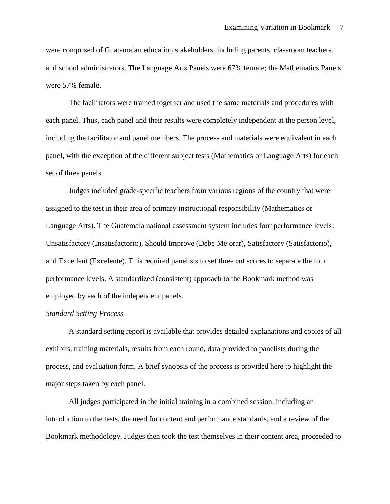were comprised of Guatemalan education stakeholders, including parents, classroom teachers, and school administrators. The Language Arts Panels were 67% female; the Mathematics Panels were 57% female.

The facilitators were trained together and used the same materials and procedures with each panel. Thus, each panel and their results were completely independent at the person level, including the facilitator and panel members. The process and materials were equivalent in each panel, with the exception of the different subject tests (Mathematics or Language Arts) for each set of three panels.

Judges included grade-specific teachers from various regions of the country that were assigned to the test in their area of primary instructional responsibility (Mathematics or Language Arts). The Guatemala national assessment system includes four performance levels: Unsatisfactory (Insatisfactorio), Should Improve (Debe Mejorar), Satisfactory (Satisfactorio), and Excellent (Excelente). This required panelists to set three cut scores to separate the four performance levels. A standardized (consistent) approach to the Bookmark method was employed by each of the independent panels.

### *Standard Setting Process*

A standard setting report is available that provides detailed explanations and copies of all exhibits, training materials, results from each round, data provided to panelists during the process, and evaluation form. A brief synopsis of the process is provided here to highlight the major steps taken by each panel.

All judges participated in the initial training in a combined session, including an introduction to the tests, the need for content and performance standards, and a review of the Bookmark methodology. Judges then took the test themselves in their content area, proceeded to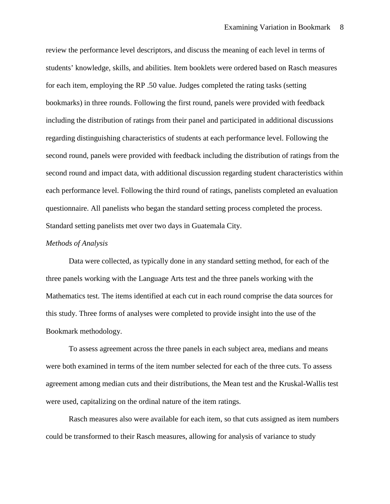review the performance level descriptors, and discuss the meaning of each level in terms of students' knowledge, skills, and abilities. Item booklets were ordered based on Rasch measures for each item, employing the RP .50 value. Judges completed the rating tasks (setting bookmarks) in three rounds. Following the first round, panels were provided with feedback including the distribution of ratings from their panel and participated in additional discussions regarding distinguishing characteristics of students at each performance level. Following the second round, panels were provided with feedback including the distribution of ratings from the second round and impact data, with additional discussion regarding student characteristics within each performance level. Following the third round of ratings, panelists completed an evaluation questionnaire. All panelists who began the standard setting process completed the process. Standard setting panelists met over two days in Guatemala City.

#### *Methods of Analysis*

Data were collected, as typically done in any standard setting method, for each of the three panels working with the Language Arts test and the three panels working with the Mathematics test. The items identified at each cut in each round comprise the data sources for this study. Three forms of analyses were completed to provide insight into the use of the Bookmark methodology.

To assess agreement across the three panels in each subject area, medians and means were both examined in terms of the item number selected for each of the three cuts. To assess agreement among median cuts and their distributions, the Mean test and the Kruskal-Wallis test were used, capitalizing on the ordinal nature of the item ratings.

Rasch measures also were available for each item, so that cuts assigned as item numbers could be transformed to their Rasch measures, allowing for analysis of variance to study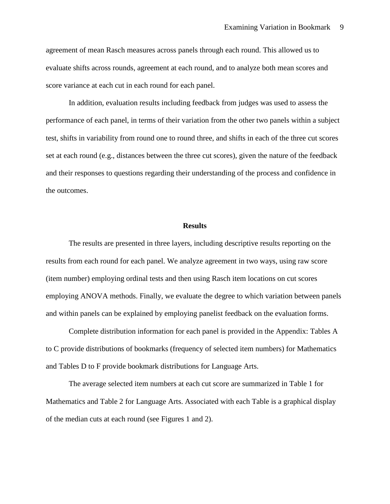agreement of mean Rasch measures across panels through each round. This allowed us to evaluate shifts across rounds, agreement at each round, and to analyze both mean scores and score variance at each cut in each round for each panel.

In addition, evaluation results including feedback from judges was used to assess the performance of each panel, in terms of their variation from the other two panels within a subject test, shifts in variability from round one to round three, and shifts in each of the three cut scores set at each round (e.g., distances between the three cut scores), given the nature of the feedback and their responses to questions regarding their understanding of the process and confidence in the outcomes.

#### **Results**

The results are presented in three layers, including descriptive results reporting on the results from each round for each panel. We analyze agreement in two ways, using raw score (item number) employing ordinal tests and then using Rasch item locations on cut scores employing ANOVA methods. Finally, we evaluate the degree to which variation between panels and within panels can be explained by employing panelist feedback on the evaluation forms.

Complete distribution information for each panel is provided in the Appendix: Tables A to C provide distributions of bookmarks (frequency of selected item numbers) for Mathematics and Tables D to F provide bookmark distributions for Language Arts.

The average selected item numbers at each cut score are summarized in Table 1 for Mathematics and Table 2 for Language Arts. Associated with each Table is a graphical display of the median cuts at each round (see Figures 1 and 2).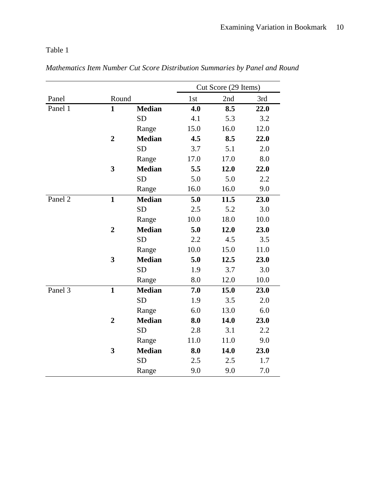Table 1

|                      |                |               |      | Cut Score (29 Items) |      |  |  |
|----------------------|----------------|---------------|------|----------------------|------|--|--|
| Panel                | Round          |               | 1st  | 2nd                  | 3rd  |  |  |
| Panel 1              | $\mathbf{1}$   | <b>Median</b> | 4.0  | 8.5                  | 22.0 |  |  |
|                      |                | <b>SD</b>     | 4.1  | 5.3                  | 3.2  |  |  |
|                      |                | Range         | 15.0 | 16.0                 | 12.0 |  |  |
|                      | $\overline{2}$ | <b>Median</b> | 4.5  | 8.5                  | 22.0 |  |  |
|                      |                | <b>SD</b>     | 3.7  | 5.1                  | 2.0  |  |  |
|                      |                | Range         | 17.0 | 17.0                 | 8.0  |  |  |
|                      | 3              | <b>Median</b> | 5.5  | 12.0                 | 22.0 |  |  |
|                      |                | <b>SD</b>     | 5.0  | 5.0                  | 2.2  |  |  |
|                      |                | Range         | 16.0 | 16.0                 | 9.0  |  |  |
| Panel 2              | $\mathbf{1}$   | <b>Median</b> | 5.0  | 11.5                 | 23.0 |  |  |
|                      |                | <b>SD</b>     | 2.5  | 5.2                  | 3.0  |  |  |
|                      |                | Range         | 10.0 | 18.0                 | 10.0 |  |  |
|                      | $\overline{2}$ | <b>Median</b> | 5.0  | 12.0                 | 23.0 |  |  |
|                      |                | <b>SD</b>     | 2.2  | 4.5                  | 3.5  |  |  |
|                      |                | Range         | 10.0 | 15.0                 | 11.0 |  |  |
|                      | 3              | <b>Median</b> | 5.0  | 12.5                 | 23.0 |  |  |
|                      |                | <b>SD</b>     | 1.9  | 3.7                  | 3.0  |  |  |
|                      |                | Range         | 8.0  | 12.0                 | 10.0 |  |  |
| Panel $\overline{3}$ | $\mathbf{1}$   | <b>Median</b> | 7.0  | 15.0                 | 23.0 |  |  |
|                      |                | <b>SD</b>     | 1.9  | 3.5                  | 2.0  |  |  |
|                      |                | Range         | 6.0  | 13.0                 | 6.0  |  |  |
|                      | $\overline{2}$ | <b>Median</b> | 8.0  | 14.0                 | 23.0 |  |  |
|                      |                | <b>SD</b>     | 2.8  | 3.1                  | 2.2  |  |  |
|                      |                | Range         | 11.0 | 11.0                 | 9.0  |  |  |
|                      | 3              | <b>Median</b> | 8.0  | 14.0                 | 23.0 |  |  |
|                      |                | <b>SD</b>     | 2.5  | 2.5                  | 1.7  |  |  |
|                      |                | Range         | 9.0  | 9.0                  | 7.0  |  |  |

*Mathematics Item Number Cut Score Distribution Summaries by Panel and Round*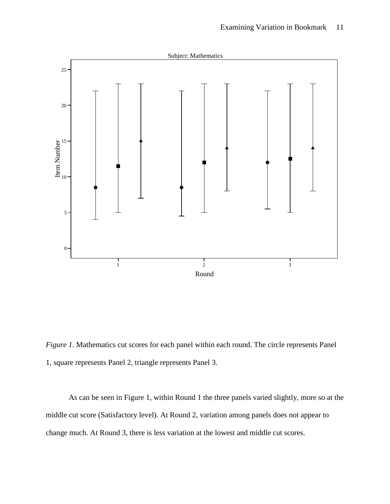

*Figure 1*. Mathematics cut scores for each panel within each round. The circle represents Panel 1, square represents Panel 2, triangle represents Panel 3.

As can be seen in Figure 1, within Round 1 the three panels varied slightly, more so at the middle cut score (Satisfactory level). At Round 2, variation among panels does not appear to change much. At Round 3, there is less variation at the lowest and middle cut scores.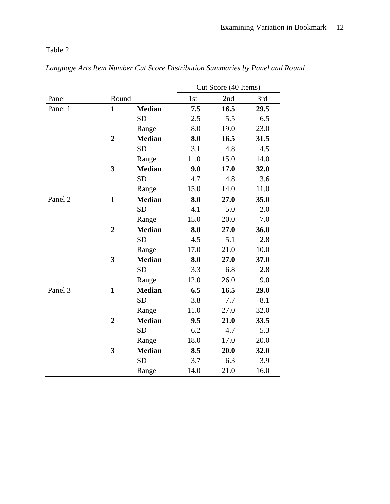Table 2

|         |                |               | Cut Score (40 Items) |      |      |  |
|---------|----------------|---------------|----------------------|------|------|--|
| Panel   | Round          |               | 1st                  | 2nd  | 3rd  |  |
| Panel 1 | $\mathbf{1}$   | <b>Median</b> | 7.5                  | 16.5 | 29.5 |  |
|         |                | <b>SD</b>     | 2.5                  | 5.5  | 6.5  |  |
|         |                | Range         | 8.0                  | 19.0 | 23.0 |  |
|         | $\overline{2}$ | <b>Median</b> | 8.0                  | 16.5 | 31.5 |  |
|         |                | <b>SD</b>     | 3.1                  | 4.8  | 4.5  |  |
|         |                | Range         | 11.0                 | 15.0 | 14.0 |  |
|         | 3              | <b>Median</b> | 9.0                  | 17.0 | 32.0 |  |
|         |                | <b>SD</b>     | 4.7                  | 4.8  | 3.6  |  |
|         |                | Range         | 15.0                 | 14.0 | 11.0 |  |
| Panel 2 | $\mathbf{1}$   | <b>Median</b> | 8.0                  | 27.0 | 35.0 |  |
|         |                | <b>SD</b>     | 4.1                  | 5.0  | 2.0  |  |
|         |                | Range         | 15.0                 | 20.0 | 7.0  |  |
|         | $\overline{2}$ | <b>Median</b> | 8.0                  | 27.0 | 36.0 |  |
|         |                | <b>SD</b>     | 4.5                  | 5.1  | 2.8  |  |
|         |                | Range         | 17.0                 | 21.0 | 10.0 |  |
|         | 3              | <b>Median</b> | 8.0                  | 27.0 | 37.0 |  |
|         |                | <b>SD</b>     | 3.3                  | 6.8  | 2.8  |  |
|         |                | Range         | 12.0                 | 26.0 | 9.0  |  |
| Panel 3 | $\mathbf{1}$   | <b>Median</b> | 6.5                  | 16.5 | 29.0 |  |
|         |                | <b>SD</b>     | 3.8                  | 7.7  | 8.1  |  |
|         |                | Range         | 11.0                 | 27.0 | 32.0 |  |
|         | $\overline{2}$ | <b>Median</b> | 9.5                  | 21.0 | 33.5 |  |
|         |                | <b>SD</b>     | 6.2                  | 4.7  | 5.3  |  |
|         |                | Range         | 18.0                 | 17.0 | 20.0 |  |
|         | 3              | <b>Median</b> | 8.5                  | 20.0 | 32.0 |  |
|         |                | <b>SD</b>     | 3.7                  | 6.3  | 3.9  |  |
|         |                | Range         | 14.0                 | 21.0 | 16.0 |  |

*Language Arts Item Number Cut Score Distribution Summaries by Panel and Round*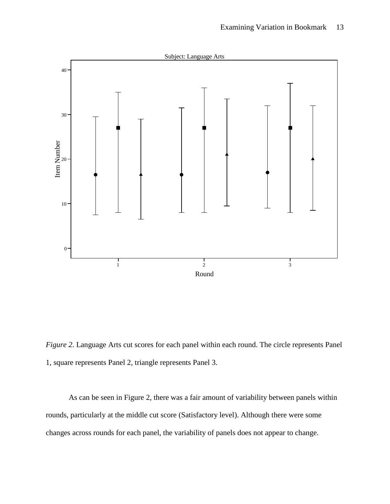

*Figure 2*. Language Arts cut scores for each panel within each round. The circle represents Panel 1, square represents Panel 2, triangle represents Panel 3.

As can be seen in Figure 2, there was a fair amount of variability between panels within rounds, particularly at the middle cut score (Satisfactory level). Although there were some changes across rounds for each panel, the variability of panels does not appear to change.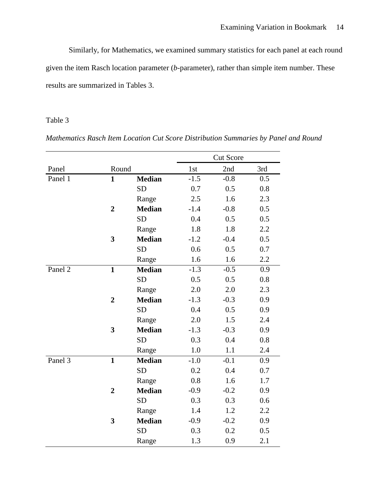Similarly, for Mathematics, we examined summary statistics for each panel at each round given the item Rasch location parameter (*b*-parameter), rather than simple item number. These results are summarized in Tables 3.

## Table 3

*Mathematics Rasch Item Location Cut Score Distribution Summaries by Panel and Round*

|         |                |               |        | <b>Cut Score</b> |     |
|---------|----------------|---------------|--------|------------------|-----|
| Panel   | Round          |               | 1st    | 2nd              | 3rd |
| Panel 1 | $\mathbf{1}$   | <b>Median</b> | $-1.5$ | $-0.8$           | 0.5 |
|         |                | <b>SD</b>     | 0.7    | 0.5              | 0.8 |
|         |                | Range         | 2.5    | 1.6              | 2.3 |
|         | $\overline{2}$ | <b>Median</b> | $-1.4$ | $-0.8$           | 0.5 |
|         |                | <b>SD</b>     | 0.4    | 0.5              | 0.5 |
|         |                | Range         | 1.8    | 1.8              | 2.2 |
|         | 3              | <b>Median</b> | $-1.2$ | $-0.4$           | 0.5 |
|         |                | <b>SD</b>     | 0.6    | 0.5              | 0.7 |
|         |                | Range         | 1.6    | 1.6              | 2.2 |
| Panel 2 | $\mathbf{1}$   | <b>Median</b> | $-1.3$ | $-0.5$           | 0.9 |
|         |                | <b>SD</b>     | 0.5    | 0.5              | 0.8 |
|         |                | Range         | 2.0    | 2.0              | 2.3 |
|         | $\overline{2}$ | <b>Median</b> | $-1.3$ | $-0.3$           | 0.9 |
|         |                | <b>SD</b>     | 0.4    | 0.5              | 0.9 |
|         |                | Range         | 2.0    | 1.5              | 2.4 |
|         | 3              | <b>Median</b> | $-1.3$ | $-0.3$           | 0.9 |
|         |                | <b>SD</b>     | 0.3    | 0.4              | 0.8 |
|         |                | Range         | 1.0    | 1.1              | 2.4 |
| Panel 3 | $\mathbf{1}$   | <b>Median</b> | $-1.0$ | $-0.1$           | 0.9 |
|         |                | <b>SD</b>     | 0.2    | 0.4              | 0.7 |
|         |                | Range         | 0.8    | 1.6              | 1.7 |
|         | $\overline{2}$ | <b>Median</b> | $-0.9$ | $-0.2$           | 0.9 |
|         |                | <b>SD</b>     | 0.3    | 0.3              | 0.6 |
|         |                | Range         | 1.4    | 1.2              | 2.2 |
|         | 3              | <b>Median</b> | $-0.9$ | $-0.2$           | 0.9 |
|         |                | <b>SD</b>     | 0.3    | 0.2              | 0.5 |
|         |                | Range         | 1.3    | 0.9              | 2.1 |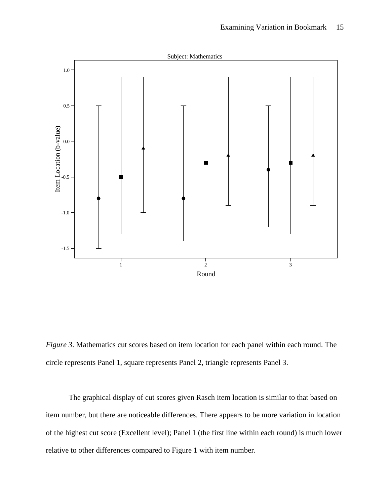

*Figure 3*. Mathematics cut scores based on item location for each panel within each round. The circle represents Panel 1, square represents Panel 2, triangle represents Panel 3.

The graphical display of cut scores given Rasch item location is similar to that based on item number, but there are noticeable differences. There appears to be more variation in location of the highest cut score (Excellent level); Panel 1 (the first line within each round) is much lower relative to other differences compared to Figure 1 with item number.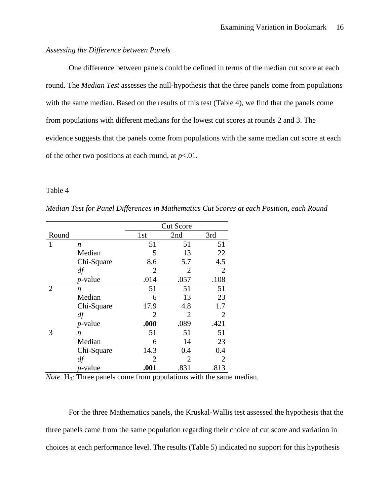## *Assessing the Difference between Panels*

One difference between panels could be defined in terms of the median cut score at each round. The *Median Test* assesses the null-hypothesis that the three panels come from populations with the same median. Based on the results of this test (Table 4), we find that the panels come from populations with different medians for the lowest cut scores at rounds 2 and 3. The evidence suggests that the panels come from populations with the same median cut score at each of the other two positions at each round, at  $p<01$ .

### Table 4

*Median Test for Panel Differences in Mathematics Cut Scores at each Position, each Round*

|                |                 | <b>Cut Score</b> |                |                |  |
|----------------|-----------------|------------------|----------------|----------------|--|
| Round          |                 | 1st              | 2nd            | 3rd            |  |
| $\mathbf{1}$   | n               | 51               | 51             | 51             |  |
|                | Median          | 5                | 13             | 22             |  |
|                | Chi-Square      | 8.6              | 5.7            | 4.5            |  |
|                | df              | $\overline{2}$   | $\overline{2}$ | $\overline{2}$ |  |
|                | <i>p</i> -value | .014             | .057           | .108           |  |
| $\overline{2}$ | n               | 51               | 51             | 51             |  |
|                | Median          | 6                | 13             | 23             |  |
|                | Chi-Square      | 17.9             | 4.8            | 1.7            |  |
|                | df              | 2                | $\overline{2}$ | 2              |  |
|                | <i>p</i> -value | .000             | .089           | .421           |  |
| 3              | n               | 51               | 51             | 51             |  |
|                | Median          | 6                | 14             | 23             |  |
|                | Chi-Square      | 14.3             | 0.4            | 0.4            |  |
|                | df              | $\overline{2}$   | $\overline{2}$ | $\overline{2}$ |  |
|                | <i>p</i> -value | .001             | .831           | .813           |  |

*Note.*  $H_0$ : Three panels come from populations with the same median.

For the three Mathematics panels, the Kruskal-Wallis test assessed the hypothesis that the three panels came from the same population regarding their choice of cut score and variation in choices at each performance level. The results (Table 5) indicated no support for this hypothesis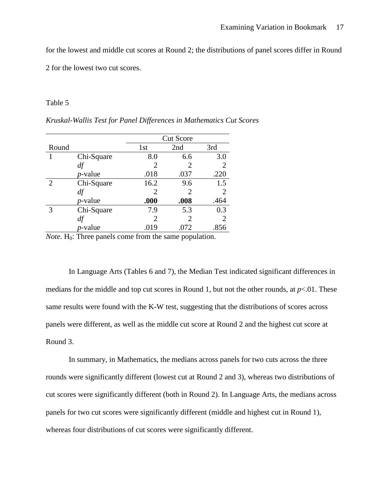for the lowest and middle cut scores at Round 2; the distributions of panel scores differ in Round

2 for the lowest two cut scores.

### Table 5

|                |                 |                             | <b>Cut Score</b> |      |  |  |
|----------------|-----------------|-----------------------------|------------------|------|--|--|
| Round          |                 | 1st                         | 2nd              | 3rd  |  |  |
|                | Chi-Square      | 8.0                         | 6.6              | 3.0  |  |  |
|                | df              | 2                           | 2                |      |  |  |
|                | <i>p</i> -value | .018                        | .037             | .220 |  |  |
| $\overline{2}$ | Chi-Square      | 16.2                        | 9.6              | 1.5  |  |  |
|                | df              | 2                           | 2                | 2    |  |  |
|                | <i>p</i> -value | .000                        | .008             | .464 |  |  |
| 3              | Chi-Square      | 7.9                         | 5.3              | 0.3  |  |  |
|                |                 | $\mathcal{D}_{\mathcal{L}}$ | 2                | 2    |  |  |
|                | <i>p</i> -value | .019                        | .072             | .856 |  |  |

*Kruskal-Wallis Test for Panel Differences in Mathematics Cut Scores*

*Note.* H<sub>0</sub>: Three panels come from the same population.

In Language Arts (Tables 6 and 7), the Median Test indicated significant differences in medians for the middle and top cut scores in Round 1, but not the other rounds, at  $p<.01$ . These same results were found with the K-W test, suggesting that the distributions of scores across panels were different, as well as the middle cut score at Round 2 and the highest cut score at Round 3.

In summary, in Mathematics, the medians across panels for two cuts across the three rounds were significantly different (lowest cut at Round 2 and 3), whereas two distributions of cut scores were significantly different (both in Round 2). In Language Arts, the medians across panels for two cut scores were significantly different (middle and highest cut in Round 1), whereas four distributions of cut scores were significantly different.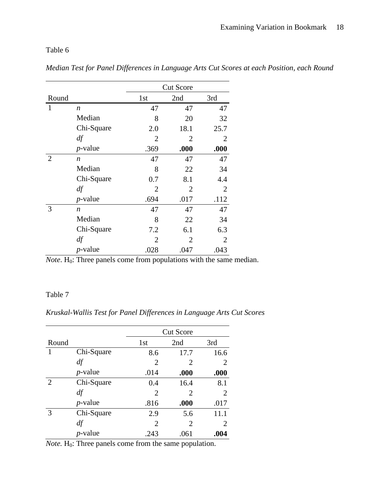Table 6

|                |                  |                | <b>Cut Score</b> |      |
|----------------|------------------|----------------|------------------|------|
| Round          |                  | 1st            | 2nd              | 3rd  |
| $\mathbf{1}$   | n                | 47             | 47               | 47   |
|                | Median           | 8              | 20               | 32   |
|                | Chi-Square       | 2.0            | 18.1             | 25.7 |
|                | df               | 2              | 2                | 2    |
|                | $p$ -value       | .369           | .000             | .000 |
| $\overline{2}$ | $\boldsymbol{n}$ | 47             | 47               | 47   |
|                | Median           | 8              | 22               | 34   |
|                | Chi-Square       | 0.7            | 8.1              | 4.4  |
|                | df               | $\overline{2}$ | $\overline{2}$   | 2    |
|                | $p$ -value       | .694           | .017             | .112 |
| 3              | $\boldsymbol{n}$ | 47             | 47               | 47   |
|                | Median           | 8              | 22               | 34   |
|                | Chi-Square       | 7.2            | 6.1              | 6.3  |
|                | df               | $\overline{2}$ | 2                | 2    |
|                | $p$ -value       | .028           | .047             | .043 |

*Median Test for Panel Differences in Language Arts Cut Scores at each Position, each Round*

*Note*. H<sub>0</sub>: Three panels come from populations with the same median.

## Table 7

*Kruskal-Wallis Test for Panel Differences in Language Arts Cut Scores*

|                |            |      | <b>Cut Score</b>            |                       |  |  |  |
|----------------|------------|------|-----------------------------|-----------------------|--|--|--|
| Round          |            | 1st  | 2nd                         | 3rd                   |  |  |  |
| 1              | Chi-Square | 8.6  | 17.7                        | 16.6                  |  |  |  |
|                | df         | 2    | 2                           | 2                     |  |  |  |
|                | $p$ -value | .014 | .000                        | .000                  |  |  |  |
| $\overline{2}$ | Chi-Square | 0.4  | 16.4                        | 8.1                   |  |  |  |
|                | df         | 2    | $\mathcal{D}_{\mathcal{L}}$ | $\mathcal{D}_{\cdot}$ |  |  |  |
|                | $p$ -value | .816 | .000                        | .017                  |  |  |  |
| 3              | Chi-Square | 2.9  | 5.6                         | 11.1                  |  |  |  |
|                | d f        | 2    | 2                           | 2                     |  |  |  |
|                | $p$ -value | .243 | .061                        | .004                  |  |  |  |

*Note.* H<sub>0</sub>: Three panels come from the same population.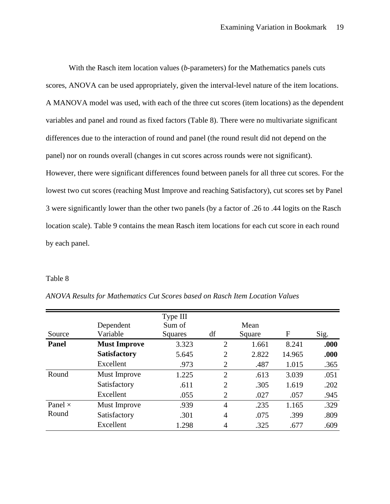With the Rasch item location values (*b*-parameters) for the Mathematics panels cuts scores, ANOVA can be used appropriately, given the interval-level nature of the item locations. A MANOVA model was used, with each of the three cut scores (item locations) as the dependent variables and panel and round as fixed factors (Table 8). There were no multivariate significant differences due to the interaction of round and panel (the round result did not depend on the panel) nor on rounds overall (changes in cut scores across rounds were not significant). However, there were significant differences found between panels for all three cut scores. For the lowest two cut scores (reaching Must Improve and reaching Satisfactory), cut scores set by Panel 3 were significantly lower than the other two panels (by a factor of .26 to .44 logits on the Rasch location scale). Table 9 contains the mean Rasch item locations for each cut score in each round by each panel.

### Table 8

|                |                     | Type III |                |        |        |      |
|----------------|---------------------|----------|----------------|--------|--------|------|
|                | Dependent           | Sum of   |                | Mean   |        |      |
| Source         | Variable            | Squares  | df             | Square | F      | Sig. |
| Panel          | <b>Must Improve</b> | 3.323    | $\overline{2}$ | 1.661  | 8.241  | .000 |
|                | <b>Satisfactory</b> | 5.645    | $\overline{2}$ | 2.822  | 14.965 | .000 |
|                | Excellent           | .973     | $\overline{2}$ | .487   | 1.015  | .365 |
| Round          | Must Improve        | 1.225    | $\overline{2}$ | .613   | 3.039  | .051 |
|                | Satisfactory        | .611     | $\overline{2}$ | .305   | 1.619  | .202 |
|                | Excellent           | .055     | 2              | .027   | .057   | .945 |
| Panel $\times$ | Must Improve        | .939     | $\overline{4}$ | .235   | 1.165  | .329 |
| Round          | Satisfactory        | .301     | $\overline{4}$ | .075   | .399   | .809 |
|                | Excellent           | 1.298    | 4              | .325   | .677   | .609 |

*ANOVA Results for Mathematics Cut Scores based on Rasch Item Location Values*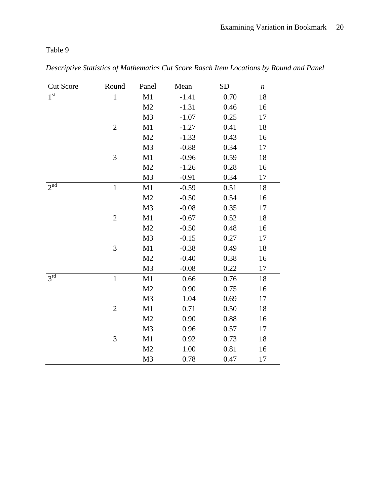Table 9

| <b>Cut Score</b>     | Round          | Panel          | Mean    | <b>SD</b> | $\boldsymbol{n}$ |
|----------------------|----------------|----------------|---------|-----------|------------------|
| 1 <sup>st</sup>      | $\,1\,$        | M1             | $-1.41$ | 0.70      | 18               |
|                      |                | M2             | $-1.31$ | 0.46      | 16               |
|                      |                | M <sub>3</sub> | $-1.07$ | 0.25      | 17               |
|                      | $\overline{2}$ | M1             | $-1.27$ | 0.41      | 18               |
|                      |                | M <sub>2</sub> | $-1.33$ | 0.43      | 16               |
|                      |                | M <sub>3</sub> | $-0.88$ | 0.34      | 17               |
|                      | 3              | M1             | $-0.96$ | 0.59      | 18               |
|                      |                | M <sub>2</sub> | $-1.26$ | 0.28      | 16               |
|                      |                | M <sub>3</sub> | $-0.91$ | 0.34      | 17               |
|                      | $\mathbf{1}$   | M1             | $-0.59$ | 0.51      | 18               |
|                      |                | M <sub>2</sub> | $-0.50$ | 0.54      | 16               |
|                      |                | M <sub>3</sub> | $-0.08$ | 0.35      | 17               |
|                      | $\sqrt{2}$     | M1             | $-0.67$ | 0.52      | 18               |
|                      |                | M <sub>2</sub> | $-0.50$ | 0.48      | 16               |
|                      |                | M <sub>3</sub> | $-0.15$ | 0.27      | 17               |
|                      | 3              | M1             | $-0.38$ | 0.49      | 18               |
|                      |                | M <sub>2</sub> | $-0.40$ | 0.38      | 16               |
|                      |                | M3             | $-0.08$ | 0.22      | 17               |
| $2^{nd}$<br>$3^{rd}$ | $\mathbf 1$    | M1             | 0.66    | 0.76      | 18               |
|                      |                | M <sub>2</sub> | 0.90    | 0.75      | 16               |
|                      |                | M <sub>3</sub> | 1.04    | 0.69      | 17               |
|                      | $\mathbf{2}$   | M1             | 0.71    | 0.50      | 18               |
|                      |                | M <sub>2</sub> | 0.90    | 0.88      | 16               |
|                      |                | M3             | 0.96    | 0.57      | 17               |
|                      | 3              | M1             | 0.92    | 0.73      | 18               |
|                      |                | M <sub>2</sub> | 1.00    | 0.81      | 16               |
|                      |                | M <sub>3</sub> | 0.78    | 0.47      | 17               |
|                      |                |                |         |           |                  |

*Descriptive Statistics of Mathematics Cut Score Rasch Item Locations by Round and Panel*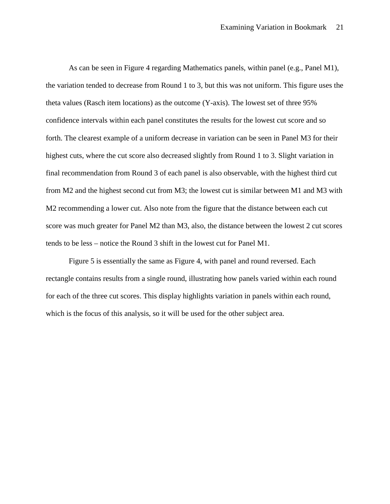As can be seen in Figure 4 regarding Mathematics panels, within panel (e.g., Panel M1), the variation tended to decrease from Round 1 to 3, but this was not uniform. This figure uses the theta values (Rasch item locations) as the outcome (Y-axis). The lowest set of three 95% confidence intervals within each panel constitutes the results for the lowest cut score and so forth. The clearest example of a uniform decrease in variation can be seen in Panel M3 for their highest cuts, where the cut score also decreased slightly from Round 1 to 3. Slight variation in final recommendation from Round 3 of each panel is also observable, with the highest third cut from M2 and the highest second cut from M3; the lowest cut is similar between M1 and M3 with M2 recommending a lower cut. Also note from the figure that the distance between each cut score was much greater for Panel M2 than M3, also, the distance between the lowest 2 cut scores tends to be less – notice the Round 3 shift in the lowest cut for Panel M1.

Figure 5 is essentially the same as Figure 4, with panel and round reversed. Each rectangle contains results from a single round, illustrating how panels varied within each round for each of the three cut scores. This display highlights variation in panels within each round, which is the focus of this analysis, so it will be used for the other subject area.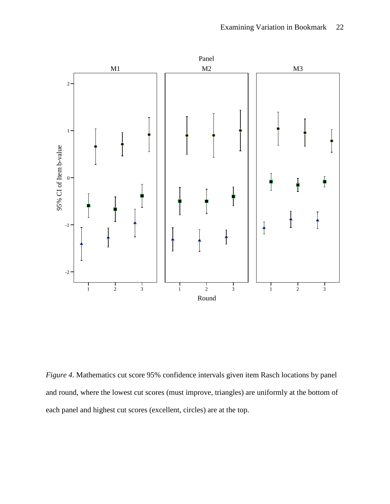

*Figure 4*. Mathematics cut score 95% confidence intervals given item Rasch locations by panel and round, where the lowest cut scores (must improve, triangles) are uniformly at the bottom of each panel and highest cut scores (excellent, circles) are at the top.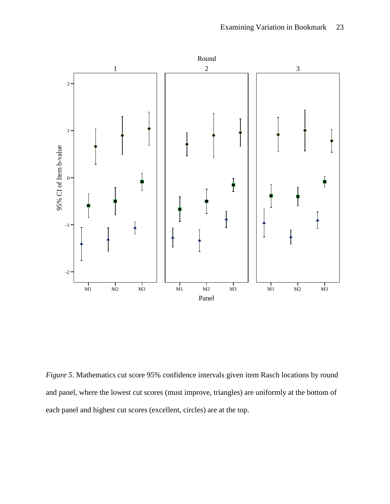

*Figure 5*. Mathematics cut score 95% confidence intervals given item Rasch locations by round and panel, where the lowest cut scores (must improve, triangles) are uniformly at the bottom of each panel and highest cut scores (excellent, circles) are at the top.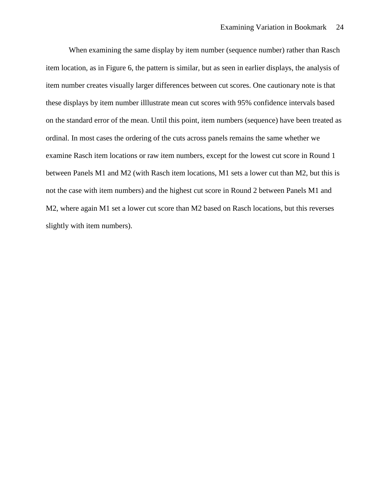When examining the same display by item number (sequence number) rather than Rasch item location, as in Figure 6, the pattern is similar, but as seen in earlier displays, the analysis of item number creates visually larger differences between cut scores. One cautionary note is that these displays by item number illlustrate mean cut scores with 95% confidence intervals based on the standard error of the mean. Until this point, item numbers (sequence) have been treated as ordinal. In most cases the ordering of the cuts across panels remains the same whether we examine Rasch item locations or raw item numbers, except for the lowest cut score in Round 1 between Panels M1 and M2 (with Rasch item locations, M1 sets a lower cut than M2, but this is not the case with item numbers) and the highest cut score in Round 2 between Panels M1 and M2, where again M1 set a lower cut score than M2 based on Rasch locations, but this reverses slightly with item numbers).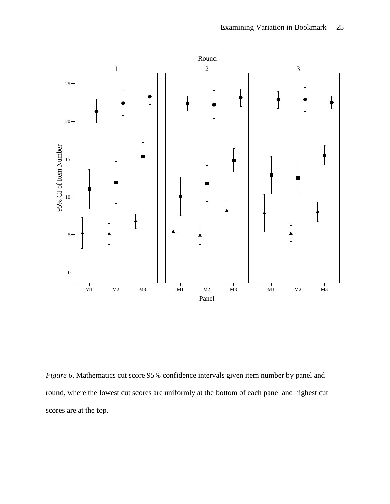

*Figure* 6. Mathematics cut score 95% confidence intervals given item number by panel and round, where the lowest cut scores are uniformly at the bottom of each panel and highest cut scores are at the top.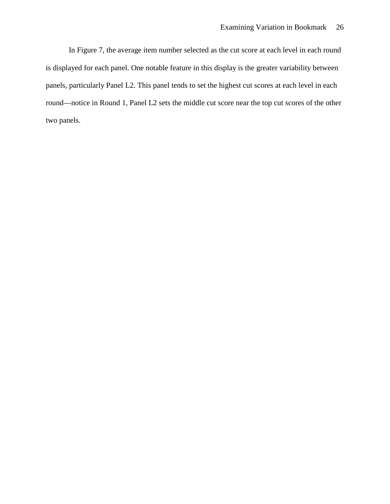In Figure 7, the average item number selected as the cut score at each level in each round is displayed for each panel. One notable feature in this display is the greater variability between panels, particularly Panel L2. This panel tends to set the highest cut scores at each level in each round—notice in Round 1, Panel L2 sets the middle cut score near the top cut scores of the other two panels.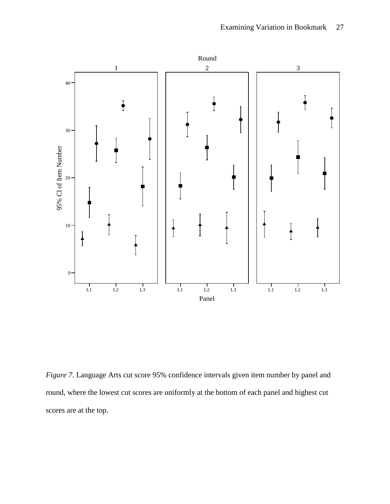

*Figure 7*. Language Arts cut score 95% confidence intervals given item number by panel and round, where the lowest cut scores are uniformly at the bottom of each panel and highest cut scores are at the top.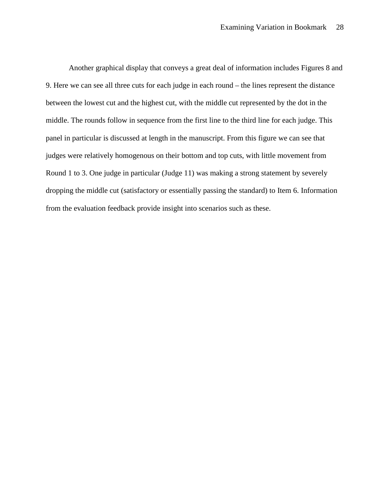Another graphical display that conveys a great deal of information includes Figures 8 and 9. Here we can see all three cuts for each judge in each round – the lines represent the distance between the lowest cut and the highest cut, with the middle cut represented by the dot in the middle. The rounds follow in sequence from the first line to the third line for each judge. This panel in particular is discussed at length in the manuscript. From this figure we can see that judges were relatively homogenous on their bottom and top cuts, with little movement from Round 1 to 3. One judge in particular (Judge 11) was making a strong statement by severely dropping the middle cut (satisfactory or essentially passing the standard) to Item 6. Information from the evaluation feedback provide insight into scenarios such as these.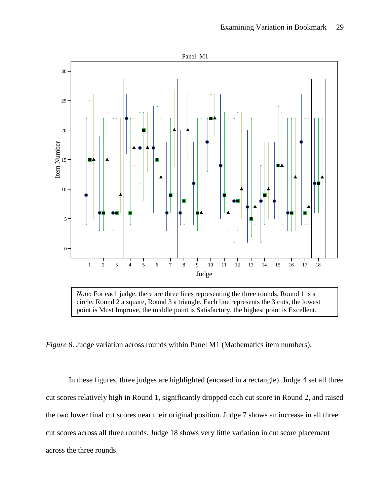

*Note*: For each judge, there are three lines representing the three rounds. Round 1 is a circle, Round 2 a square, Round 3 a triangle. Each line represents the 3 cuts, the lowest point is Must Improve, the middle point is Satisfactory, the highest point is Excellent.

*Figure 8*. Judge variation across rounds within Panel M1 (Mathematics item numbers).

In these figures, three judges are highlighted (encased in a rectangle). Judge 4 set all three cut scores relatively high in Round 1, significantly dropped each cut score in Round 2, and raised the two lower final cut scores near their original position. Judge 7 shows an increase in all three cut scores across all three rounds. Judge 18 shows very little variation in cut score placement across the three rounds.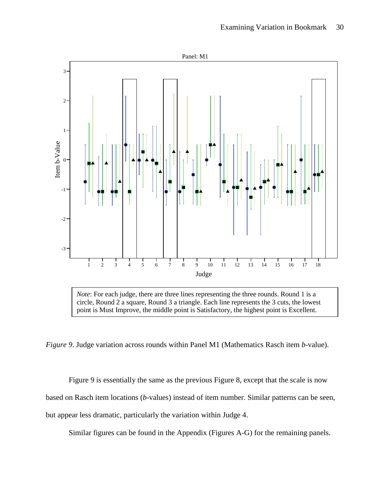

*Note*: For each judge, there are three lines representing the three rounds. Round 1 is a circle, Round 2 a square, Round 3 a triangle. Each line represents the 3 cuts, the lowest point is Must Improve, the middle point is Satisfactory, the highest point is Excellent.

*Figure 9*. Judge variation across rounds within Panel M1 (Mathematics Rasch item *b*-value).

Figure 9 is essentially the same as the previous Figure 8, except that the scale is now based on Rasch item locations (*b*-values) instead of item number. Similar patterns can be seen, but appear less dramatic, particularly the variation within Judge 4.

Similar figures can be found in the Appendix (Figures A-G) for the remaining panels.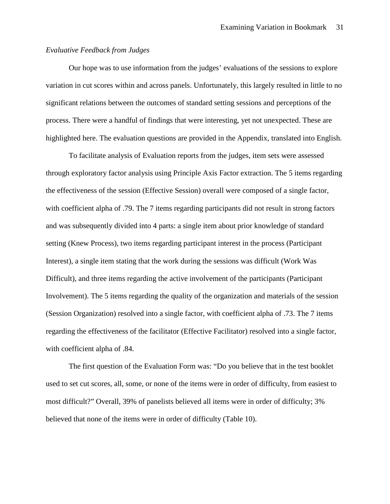### *Evaluative Feedback from Judges*

Our hope was to use information from the judges' evaluations of the sessions to explore variation in cut scores within and across panels. Unfortunately, this largely resulted in little to no significant relations between the outcomes of standard setting sessions and perceptions of the process. There were a handful of findings that were interesting, yet not unexpected. These are highlighted here. The evaluation questions are provided in the Appendix, translated into English.

To facilitate analysis of Evaluation reports from the judges, item sets were assessed through exploratory factor analysis using Principle Axis Factor extraction. The 5 items regarding the effectiveness of the session (Effective Session) overall were composed of a single factor, with coefficient alpha of .79. The 7 items regarding participants did not result in strong factors and was subsequently divided into 4 parts: a single item about prior knowledge of standard setting (Knew Process), two items regarding participant interest in the process (Participant Interest), a single item stating that the work during the sessions was difficult (Work Was Difficult), and three items regarding the active involvement of the participants (Participant Involvement). The 5 items regarding the quality of the organization and materials of the session (Session Organization) resolved into a single factor, with coefficient alpha of .73. The 7 items regarding the effectiveness of the facilitator (Effective Facilitator) resolved into a single factor, with coefficient alpha of .84.

The first question of the Evaluation Form was: "Do you believe that in the test booklet used to set cut scores, all, some, or none of the items were in order of difficulty, from easiest to most difficult?" Overall, 39% of panelists believed all items were in order of difficulty; 3% believed that none of the items were in order of difficulty (Table 10).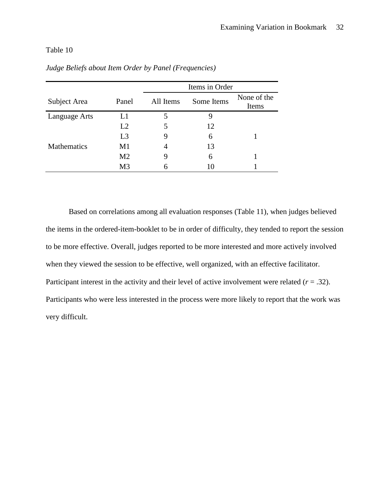## Table 10

|                    |                | Items in Order |            |                      |  |  |
|--------------------|----------------|----------------|------------|----------------------|--|--|
| Subject Area       | Panel          | All Items      | Some Items | None of the<br>Items |  |  |
| Language Arts      | L1             |                | Ч          |                      |  |  |
|                    | L2             |                | 12         |                      |  |  |
|                    | L <sub>3</sub> | 9              | 6          |                      |  |  |
| <b>Mathematics</b> | M1             | 4              | 13         |                      |  |  |
|                    | M <sub>2</sub> | 9              | 6          |                      |  |  |
|                    | M <sub>3</sub> | 6              | 10         |                      |  |  |

*Judge Beliefs about Item Order by Panel (Frequencies)*

Based on correlations among all evaluation responses (Table 11), when judges believed the items in the ordered-item-booklet to be in order of difficulty, they tended to report the session to be more effective. Overall, judges reported to be more interested and more actively involved when they viewed the session to be effective, well organized, with an effective facilitator. Participant interest in the activity and their level of active involvement were related (*r* = .32). Participants who were less interested in the process were more likely to report that the work was very difficult.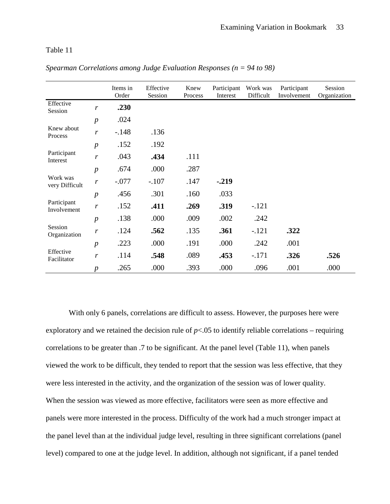### Table 11

|                            |                  | Items in<br>Order | Effective<br>Session | Knew<br>Process | Participant<br>Interest | Work was<br>Difficult | Participant<br>Involvement | Session<br>Organization |
|----------------------------|------------------|-------------------|----------------------|-----------------|-------------------------|-----------------------|----------------------------|-------------------------|
| Effective<br>Session       | r                | .230              |                      |                 |                         |                       |                            |                         |
|                            | $\boldsymbol{p}$ | .024              |                      |                 |                         |                       |                            |                         |
| Knew about<br>Process      | $\mathbf{r}$     | $-.148$           | .136                 |                 |                         |                       |                            |                         |
|                            | $\boldsymbol{p}$ | .152              | .192                 |                 |                         |                       |                            |                         |
| Participant<br>Interest    | $\mathbf{r}$     | .043              | .434                 | .111            |                         |                       |                            |                         |
|                            | $\boldsymbol{p}$ | .674              | .000                 | .287            |                         |                       |                            |                         |
| Work was<br>very Difficult | r                | $-.077$           | $-.107$              | .147            | $-.219$                 |                       |                            |                         |
|                            | $\boldsymbol{p}$ | .456              | .301                 | .160            | .033                    |                       |                            |                         |
| Participant<br>Involvement | $\mathbf{r}$     | .152              | .411                 | .269            | .319                    | $-.121$               |                            |                         |
|                            | $\boldsymbol{p}$ | .138              | .000                 | .009            | .002                    | .242                  |                            |                         |
| Session<br>Organization    | r                | .124              | .562                 | .135            | .361                    | $-.121$               | .322                       |                         |
|                            | $\boldsymbol{p}$ | .223              | .000                 | .191            | .000                    | .242                  | .001                       |                         |
| Effective<br>Facilitator   | r                | .114              | .548                 | .089            | .453                    | $-.171$               | .326                       | .526                    |
|                            | $\boldsymbol{p}$ | .265              | .000                 | .393            | .000                    | .096                  | .001                       | .000                    |

*Spearman Correlations among Judge Evaluation Responses (n = 94 to 98)*

With only 6 panels, correlations are difficult to assess. However, the purposes here were exploratory and we retained the decision rule of  $p<0.05$  to identify reliable correlations – requiring correlations to be greater than .7 to be significant. At the panel level (Table 11), when panels viewed the work to be difficult, they tended to report that the session was less effective, that they were less interested in the activity, and the organization of the session was of lower quality. When the session was viewed as more effective, facilitators were seen as more effective and panels were more interested in the process. Difficulty of the work had a much stronger impact at the panel level than at the individual judge level, resulting in three significant correlations (panel level) compared to one at the judge level. In addition, although not significant, if a panel tended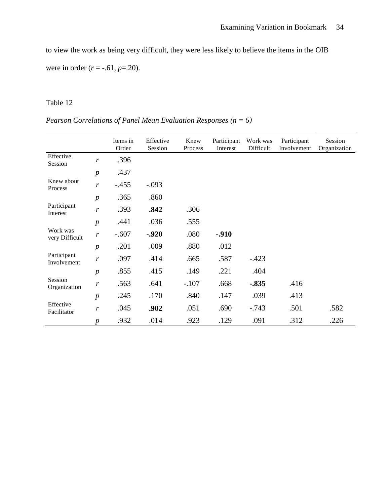to view the work as being very difficult, they were less likely to believe the items in the OIB were in order (*r* = -.61, *p*=.20).

# Table 12

|  | Pearson Correlations of Panel Mean Evaluation Responses ( $n = 6$ ) |  |  |  |  |  |  |
|--|---------------------------------------------------------------------|--|--|--|--|--|--|
|--|---------------------------------------------------------------------|--|--|--|--|--|--|

|                            |                  | Items in<br>Order | Effective<br>Session | Knew<br>Process | Participant<br>Interest | Work was<br>Difficult | Participant<br>Involvement | Session<br>Organization |
|----------------------------|------------------|-------------------|----------------------|-----------------|-------------------------|-----------------------|----------------------------|-------------------------|
| Effective<br>Session       | r                | .396              |                      |                 |                         |                       |                            |                         |
|                            | $\boldsymbol{p}$ | .437              |                      |                 |                         |                       |                            |                         |
| Knew about<br>Process      | r                | $-.455$           | $-.093$              |                 |                         |                       |                            |                         |
|                            | $\boldsymbol{p}$ | .365              | .860                 |                 |                         |                       |                            |                         |
| Participant<br>Interest    | r                | .393              | .842                 | .306            |                         |                       |                            |                         |
|                            | $\boldsymbol{p}$ | .441              | .036                 | .555            |                         |                       |                            |                         |
| Work was<br>very Difficult | r                | $-.607$           | $-0.920$             | .080            | $-0.910$                |                       |                            |                         |
|                            | $\boldsymbol{p}$ | .201              | .009                 | .880            | .012                    |                       |                            |                         |
| Participant<br>Involvement | r                | .097              | .414                 | .665            | .587                    | $-.423$               |                            |                         |
|                            | $\boldsymbol{p}$ | .855              | .415                 | .149            | .221                    | .404                  |                            |                         |
| Session<br>Organization    | r                | .563              | .641                 | $-.107$         | .668                    | $-.835$               | .416                       |                         |
|                            | $\boldsymbol{p}$ | .245              | .170                 | .840            | .147                    | .039                  | .413                       |                         |
| Effective<br>Facilitator   | r                | .045              | .902                 | .051            | .690                    | $-.743$               | .501                       | .582                    |
|                            | $\boldsymbol{p}$ | .932              | .014                 | .923            | .129                    | .091                  | .312                       | .226                    |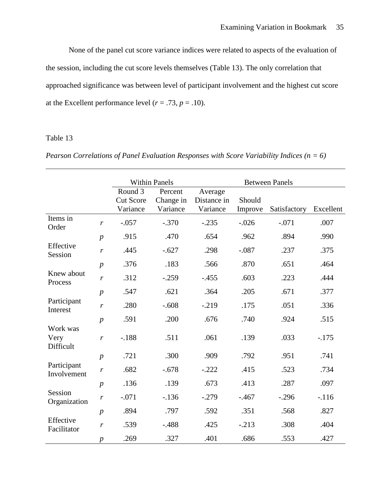None of the panel cut score variance indices were related to aspects of the evaluation of the session, including the cut score levels themselves (Table 13). The only correlation that approached significance was between level of participant involvement and the highest cut score at the Excellent performance level  $(r = .73, p = .10)$ .

## Table 13

|  | <i>Pearson Correlations of Panel Evaluation Responses with Score Variability Indices (<math>n = 6</math>)</i> |  |
|--|---------------------------------------------------------------------------------------------------------------|--|
|  |                                                                                                               |  |

|                               |                  |                                         | <b>Within Panels</b>             |                                    |                   | <b>Between Panels</b> |           |
|-------------------------------|------------------|-----------------------------------------|----------------------------------|------------------------------------|-------------------|-----------------------|-----------|
|                               |                  | Round 3<br><b>Cut Score</b><br>Variance | Percent<br>Change in<br>Variance | Average<br>Distance in<br>Variance | Should<br>Improve | Satisfactory          | Excellent |
| Items in<br>Order             | $\boldsymbol{r}$ | $-.057$                                 | $-.370$                          | $-.235$                            | $-.026$           | $-.071$               | .007      |
|                               | $\boldsymbol{p}$ | .915                                    | .470                             | .654                               | .962              | .894                  | .990      |
| Effective<br>Session          | $\boldsymbol{r}$ | .445                                    | $-.627$                          | .298                               | $-.087$           | .237                  | .375      |
|                               | $\boldsymbol{p}$ | .376                                    | .183                             | .566                               | .870              | .651                  | .464      |
| Knew about<br>Process         | $\boldsymbol{r}$ | .312                                    | $-.259$                          | $-.455$                            | .603              | .223                  | .444      |
|                               | $\boldsymbol{p}$ | .547                                    | .621                             | .364                               | .205              | .671                  | .377      |
| Participant<br>Interest       | $\boldsymbol{r}$ | .280                                    | $-.608$                          | $-0.219$                           | .175              | .051                  | .336      |
|                               | $\boldsymbol{p}$ | .591                                    | .200                             | .676                               | .740              | .924                  | .515      |
| Work was<br>Very<br>Difficult | $\boldsymbol{r}$ | $-.188$                                 | .511                             | .061                               | .139              | .033                  | $-.175$   |
|                               | $\boldsymbol{p}$ | .721                                    | .300                             | .909                               | .792              | .951                  | .741      |
| Participant<br>Involvement    | $\boldsymbol{r}$ | .682                                    | $-.678$                          | $-.222$                            | .415              | .523                  | .734      |
|                               | $\boldsymbol{p}$ | .136                                    | .139                             | .673                               | .413              | .287                  | .097      |
| Session<br>Organization       | $\boldsymbol{r}$ | $-.071$                                 | $-.136$                          | $-.279$                            | $-.467$           | $-.296$               | $-.116$   |
|                               | $\boldsymbol{p}$ | .894                                    | .797                             | .592                               | .351              | .568                  | .827      |
| Effective<br>Facilitator      | $\boldsymbol{r}$ | .539                                    | $-.488$                          | .425                               | $-.213$           | .308                  | .404      |
|                               | $\boldsymbol{p}$ | .269                                    | .327                             | .401                               | .686              | .553                  | .427      |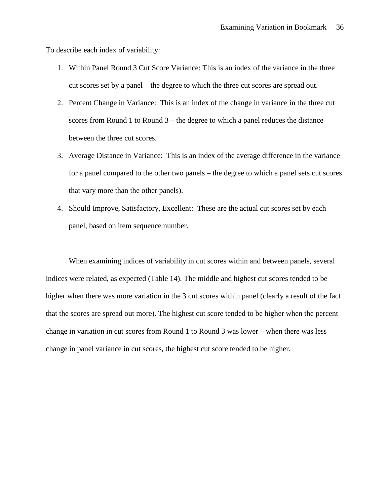To describe each index of variability:

- 1. Within Panel Round 3 Cut Score Variance: This is an index of the variance in the three cut scores set by a panel – the degree to which the three cut scores are spread out.
- 2. Percent Change in Variance: This is an index of the change in variance in the three cut scores from Round 1 to Round 3 – the degree to which a panel reduces the distance between the three cut scores.
- 3. Average Distance in Variance: This is an index of the average difference in the variance for a panel compared to the other two panels – the degree to which a panel sets cut scores that vary more than the other panels).
- 4. Should Improve, Satisfactory, Excellent: These are the actual cut scores set by each panel, based on item sequence number.

When examining indices of variability in cut scores within and between panels, several indices were related, as expected (Table 14). The middle and highest cut scores tended to be higher when there was more variation in the 3 cut scores within panel (clearly a result of the fact that the scores are spread out more). The highest cut score tended to be higher when the percent change in variation in cut scores from Round 1 to Round 3 was lower – when there was less change in panel variance in cut scores, the highest cut score tended to be higher.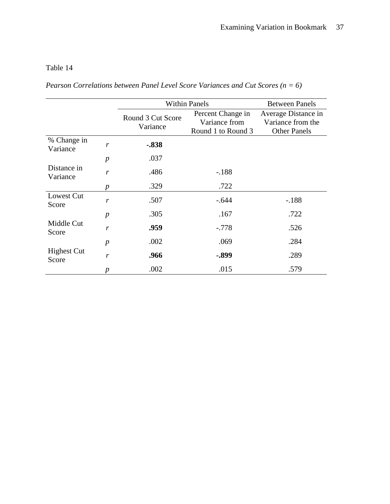# Table 14

*Pearson Correlations between Panel Level Score Variances and Cut Scores (n = 6)*

|                             |                  |                               | <b>Within Panels</b>                                     | <b>Between Panels</b>                                           |
|-----------------------------|------------------|-------------------------------|----------------------------------------------------------|-----------------------------------------------------------------|
|                             |                  | Round 3 Cut Score<br>Variance | Percent Change in<br>Variance from<br>Round 1 to Round 3 | Average Distance in<br>Variance from the<br><b>Other Panels</b> |
| % Change in<br>Variance     | r                | $-.838$                       |                                                          |                                                                 |
|                             | $\boldsymbol{p}$ | .037                          |                                                          |                                                                 |
| Distance in<br>Variance     | r                | .486                          | $-188$                                                   |                                                                 |
|                             | p                | .329                          | .722                                                     |                                                                 |
| Lowest Cut<br>Score         | r                | .507                          | $-.644$                                                  | $-.188$                                                         |
|                             | $\boldsymbol{p}$ | .305                          | .167                                                     | .722                                                            |
| Middle Cut<br>Score         | r                | .959                          | $-.778$                                                  | .526                                                            |
|                             | $\boldsymbol{p}$ | .002                          | .069                                                     | .284                                                            |
| <b>Highest Cut</b><br>Score | r                | .966                          | $-.899$                                                  | .289                                                            |
|                             | p                | .002                          | .015                                                     | .579                                                            |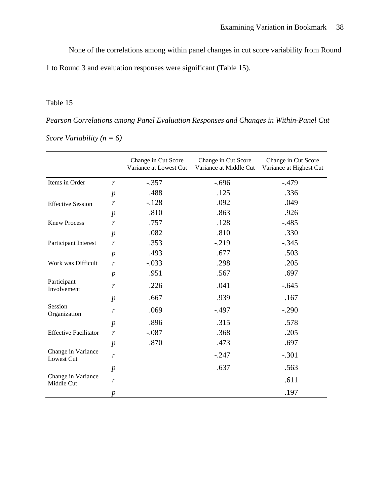None of the correlations among within panel changes in cut score variability from Round

1 to Round 3 and evaluation responses were significant (Table 15).

# Table 15

*Pearson Correlations among Panel Evaluation Responses and Changes in Within-Panel Cut Score Variability (n = 6)*

|                                  |                  | Change in Cut Score<br>Variance at Lowest Cut | Change in Cut Score<br>Variance at Middle Cut | Change in Cut Score<br>Variance at Highest Cut |
|----------------------------------|------------------|-----------------------------------------------|-----------------------------------------------|------------------------------------------------|
| Items in Order                   | $\boldsymbol{r}$ | $-.357$                                       | $-.696$                                       | $-.479$                                        |
|                                  | $\boldsymbol{p}$ | .488                                          | .125                                          | .336                                           |
| <b>Effective Session</b>         | r                | $-.128$                                       | .092                                          | .049                                           |
|                                  | $\boldsymbol{p}$ | .810                                          | .863                                          | .926                                           |
| <b>Knew Process</b>              | $\boldsymbol{r}$ | .757                                          | .128                                          | $-.485$                                        |
|                                  | $\boldsymbol{p}$ | .082                                          | .810                                          | .330                                           |
| Participant Interest             | $\boldsymbol{r}$ | .353                                          | $-0.219$                                      | $-.345$                                        |
|                                  | $\boldsymbol{p}$ | .493                                          | .677                                          | .503                                           |
| Work was Difficult               | $\boldsymbol{r}$ | $-.033$                                       | .298                                          | .205                                           |
|                                  | $\boldsymbol{p}$ | .951                                          | .567                                          | .697                                           |
| Participant<br>Involvement       | r                | .226                                          | .041                                          | $-.645$                                        |
|                                  | $\boldsymbol{p}$ | .667                                          | .939                                          | .167                                           |
| Session<br>Organization          | r                | .069                                          | $-.497$                                       | $-.290$                                        |
|                                  | $\boldsymbol{p}$ | .896                                          | .315                                          | .578                                           |
| <b>Effective Facilitator</b>     | $\boldsymbol{r}$ | $-.087$                                       | .368                                          | .205                                           |
|                                  | $\boldsymbol{p}$ | .870                                          | .473                                          | .697                                           |
| Change in Variance<br>Lowest Cut | r                |                                               | $-.247$                                       | $-.301$                                        |
|                                  | $\boldsymbol{p}$ |                                               | .637                                          | .563                                           |
| Change in Variance<br>Middle Cut | r                |                                               |                                               | .611                                           |
|                                  | $\boldsymbol{p}$ |                                               |                                               | .197                                           |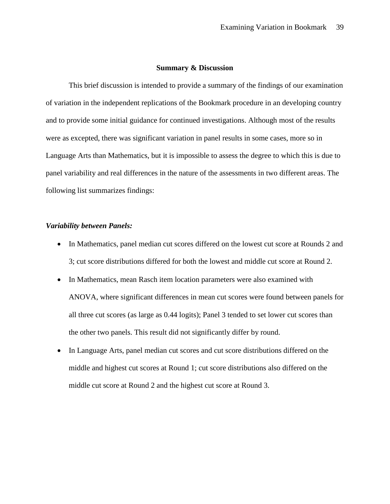### **Summary & Discussion**

This brief discussion is intended to provide a summary of the findings of our examination of variation in the independent replications of the Bookmark procedure in an developing country and to provide some initial guidance for continued investigations. Although most of the results were as excepted, there was significant variation in panel results in some cases, more so in Language Arts than Mathematics, but it is impossible to assess the degree to which this is due to panel variability and real differences in the nature of the assessments in two different areas. The following list summarizes findings:

### *Variability between Panels:*

- In Mathematics, panel median cut scores differed on the lowest cut score at Rounds 2 and 3; cut score distributions differed for both the lowest and middle cut score at Round 2.
- In Mathematics, mean Rasch item location parameters were also examined with ANOVA, where significant differences in mean cut scores were found between panels for all three cut scores (as large as 0.44 logits); Panel 3 tended to set lower cut scores than the other two panels. This result did not significantly differ by round.
- In Language Arts, panel median cut scores and cut score distributions differed on the middle and highest cut scores at Round 1; cut score distributions also differed on the middle cut score at Round 2 and the highest cut score at Round 3.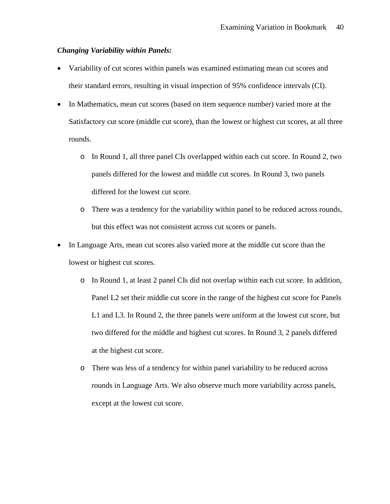### *Changing Variability within Panels:*

- Variability of cut scores within panels was examined estimating mean cut scores and their standard errors, resulting in visual inspection of 95% confidence intervals (CI).
- In Mathematics, mean cut scores (based on item sequence number) varied more at the Satisfactory cut score (middle cut score), than the lowest or highest cut scores, at all three rounds.
	- o In Round 1, all three panel CIs overlapped within each cut score. In Round 2, two panels differed for the lowest and middle cut scores. In Round 3, two panels differed for the lowest cut score.
	- o There was a tendency for the variability within panel to be reduced across rounds, but this effect was not consistent across cut scores or panels.
- In Language Arts, mean cut scores also varied more at the middle cut score than the lowest or highest cut scores.
	- o In Round 1, at least 2 panel CIs did not overlap within each cut score. In addition, Panel L2 set their middle cut score in the range of the highest cut score for Panels L1 and L3. In Round 2, the three panels were uniform at the lowest cut score, but two differed for the middle and highest cut scores. In Round 3, 2 panels differed at the highest cut score.
	- o There was less of a tendency for within panel variability to be reduced across rounds in Language Arts. We also observe much more variability across panels, except at the lowest cut score.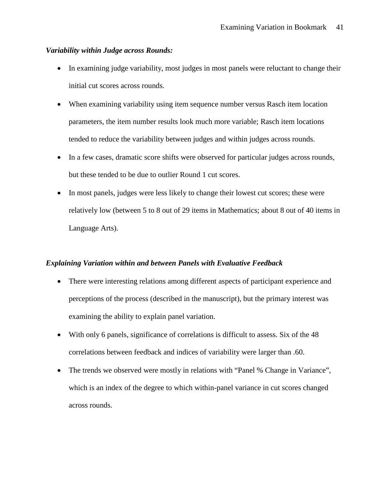### *Variability within Judge across Rounds:*

- In examining judge variability, most judges in most panels were reluctant to change their initial cut scores across rounds.
- When examining variability using item sequence number versus Rasch item location parameters, the item number results look much more variable; Rasch item locations tended to reduce the variability between judges and within judges across rounds.
- In a few cases, dramatic score shifts were observed for particular judges across rounds, but these tended to be due to outlier Round 1 cut scores.
- In most panels, judges were less likely to change their lowest cut scores; these were relatively low (between 5 to 8 out of 29 items in Mathematics; about 8 out of 40 items in Language Arts).

## *Explaining Variation within and between Panels with Evaluative Feedback*

- There were interesting relations among different aspects of participant experience and perceptions of the process (described in the manuscript), but the primary interest was examining the ability to explain panel variation.
- With only 6 panels, significance of correlations is difficult to assess. Six of the 48 correlations between feedback and indices of variability were larger than .60.
- The trends we observed were mostly in relations with "Panel % Change in Variance", which is an index of the degree to which within-panel variance in cut scores changed across rounds.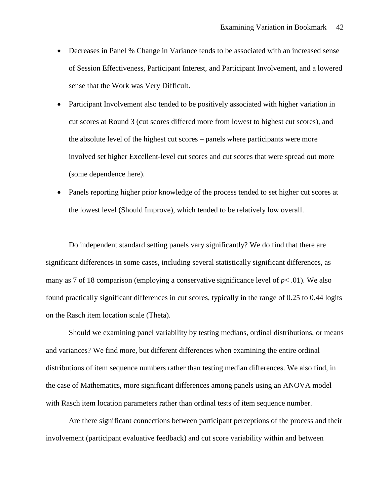- Decreases in Panel % Change in Variance tends to be associated with an increased sense of Session Effectiveness, Participant Interest, and Participant Involvement, and a lowered sense that the Work was Very Difficult.
- Participant Involvement also tended to be positively associated with higher variation in cut scores at Round 3 (cut scores differed more from lowest to highest cut scores), and the absolute level of the highest cut scores – panels where participants were more involved set higher Excellent-level cut scores and cut scores that were spread out more (some dependence here).
- Panels reporting higher prior knowledge of the process tended to set higher cut scores at the lowest level (Should Improve), which tended to be relatively low overall.

Do independent standard setting panels vary significantly? We do find that there are significant differences in some cases, including several statistically significant differences, as many as 7 of 18 comparison (employing a conservative significance level of  $p < .01$ ). We also found practically significant differences in cut scores, typically in the range of 0.25 to 0.44 logits on the Rasch item location scale (Theta).

Should we examining panel variability by testing medians, ordinal distributions, or means and variances? We find more, but different differences when examining the entire ordinal distributions of item sequence numbers rather than testing median differences. We also find, in the case of Mathematics, more significant differences among panels using an ANOVA model with Rasch item location parameters rather than ordinal tests of item sequence number.

Are there significant connections between participant perceptions of the process and their involvement (participant evaluative feedback) and cut score variability within and between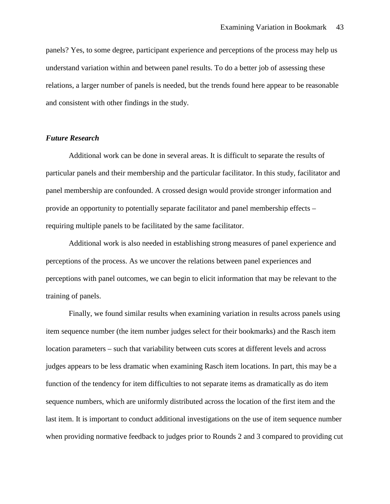panels? Yes, to some degree, participant experience and perceptions of the process may help us understand variation within and between panel results. To do a better job of assessing these relations, a larger number of panels is needed, but the trends found here appear to be reasonable and consistent with other findings in the study.

### *Future Research*

Additional work can be done in several areas. It is difficult to separate the results of particular panels and their membership and the particular facilitator. In this study, facilitator and panel membership are confounded. A crossed design would provide stronger information and provide an opportunity to potentially separate facilitator and panel membership effects – requiring multiple panels to be facilitated by the same facilitator.

Additional work is also needed in establishing strong measures of panel experience and perceptions of the process. As we uncover the relations between panel experiences and perceptions with panel outcomes, we can begin to elicit information that may be relevant to the training of panels.

Finally, we found similar results when examining variation in results across panels using item sequence number (the item number judges select for their bookmarks) and the Rasch item location parameters – such that variability between cuts scores at different levels and across judges appears to be less dramatic when examining Rasch item locations. In part, this may be a function of the tendency for item difficulties to not separate items as dramatically as do item sequence numbers, which are uniformly distributed across the location of the first item and the last item. It is important to conduct additional investigations on the use of item sequence number when providing normative feedback to judges prior to Rounds 2 and 3 compared to providing cut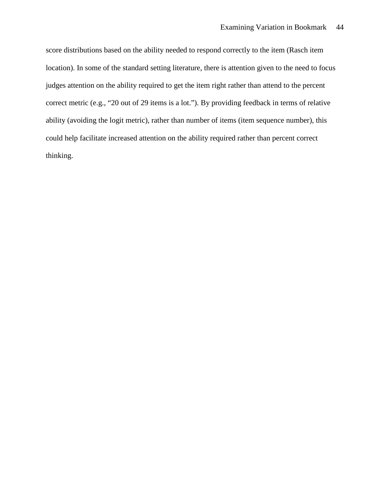score distributions based on the ability needed to respond correctly to the item (Rasch item location). In some of the standard setting literature, there is attention given to the need to focus judges attention on the ability required to get the item right rather than attend to the percent correct metric (e.g., "20 out of 29 items is a lot."). By providing feedback in terms of relative ability (avoiding the logit metric), rather than number of items (item sequence number), this could help facilitate increased attention on the ability required rather than percent correct thinking.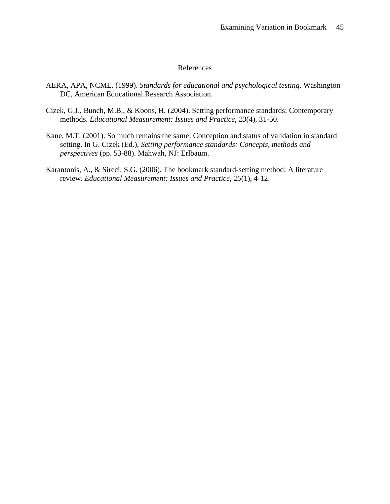## References

- AERA, APA, NCME. (1999). *Standards for educational and psychological testing*. Washington DC, American Educational Research Association.
- Cizek, G.J., Bunch, M.B., & Koons, H. (2004). Setting performance standards: Contemporary methods. *Educational Measurement: Issues and Practice, 23*(4), 31-50.
- Kane, M.T. (2001). So much remains the same: Conception and status of validation in standard setting. In G. Cizek (Ed.), *Setting performance standards: Concepts, methods and perspectives* (pp. 53-88). Mahwah, NJ: Erlbaum.
- Karantonis, A., & Sireci, S.G. (2006). The bookmark standard-setting method: A literature review. *Educational Measurement: Issues and Practice, 25*(1), 4-12.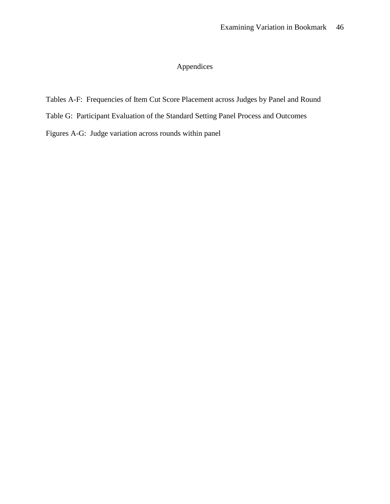# Appendices

# Tables A-F: Frequencies of Item Cut Score Placement across Judges by Panel and Round

- Table G: Participant Evaluation of the Standard Setting Panel Process and Outcomes
- Figures A-G: Judge variation across rounds within panel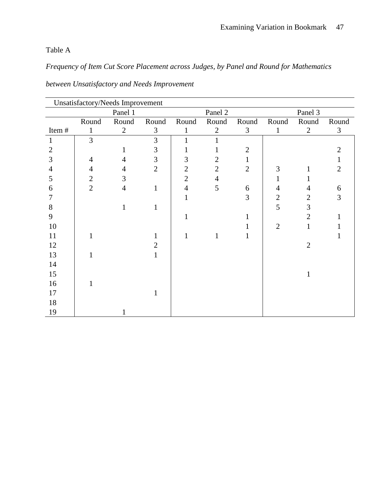# Table A

*Frequency of Item Cut Score Placement across Judges, by Panel and Round for Mathematics*

|                | Unsatisfactory/Needs Improvement |                |                |                |                |                |                |                |                |
|----------------|----------------------------------|----------------|----------------|----------------|----------------|----------------|----------------|----------------|----------------|
|                |                                  | Panel 1        |                |                | Panel 2        |                |                | Panel 3        |                |
|                | Round                            | Round          | Round          | Round          | Round          | Round          | Round          | Round          | Round          |
| Item#          | 1                                | $\overline{2}$ | 3              | 1              | $\overline{2}$ | 3              | $\mathbf{1}$   | $\overline{2}$ | 3              |
| 1              | $\overline{3}$                   |                | 3              | $\mathbf{1}$   |                |                |                |                |                |
| $\overline{2}$ |                                  | 1              | 3              |                | 1              | $\overline{2}$ |                |                | $\overline{2}$ |
| 3              | $\overline{4}$                   | $\overline{4}$ | 3              | 3              | $\mathfrak{2}$ | $\mathbf{1}$   |                |                | 1              |
| 4              | $\overline{4}$                   | 4              | $\overline{2}$ | $\overline{2}$ | $\overline{2}$ | $\overline{2}$ | 3              | 1              | $\overline{2}$ |
| 5              | $\overline{2}$                   | 3              |                | $\overline{2}$ | $\overline{4}$ |                |                |                |                |
| 6              | $\overline{2}$                   | $\overline{4}$ | $\mathbf{1}$   | $\overline{4}$ | 5              | 6              | $\overline{4}$ | $\overline{4}$ | 6              |
| 7              |                                  |                |                |                |                | 3              | $\overline{2}$ | $\overline{2}$ | 3              |
| 8              |                                  | 1              | 1              |                |                |                | 5              | 3              |                |
| 9              |                                  |                |                |                |                |                |                | $\overline{2}$ |                |
| 10             |                                  |                |                |                |                |                | $\overline{2}$ | 1              |                |
| 11             |                                  |                |                |                | 1              |                |                |                |                |
| 12             |                                  |                | $\overline{2}$ |                |                |                |                | $\overline{2}$ |                |
| 13             |                                  |                | $\mathbf{1}$   |                |                |                |                |                |                |
| 14             |                                  |                |                |                |                |                |                |                |                |
| 15             |                                  |                |                |                |                |                |                | $\mathbf{1}$   |                |
| 16             |                                  |                |                |                |                |                |                |                |                |
| 17             |                                  |                |                |                |                |                |                |                |                |
| 18             |                                  |                |                |                |                |                |                |                |                |
| 19             |                                  |                |                |                |                |                |                |                |                |

*between Unsatisfactory and Needs Improvement*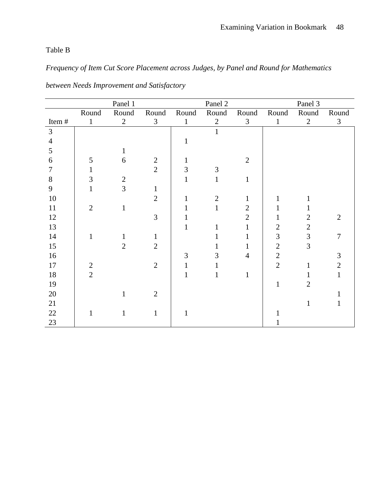# Table B

# *Frequency of Item Cut Score Placement across Judges, by Panel and Round for Mathematics*

|                | Panel 1        |                |                |              | Panel 2        |                | Panel 3        |                |                |
|----------------|----------------|----------------|----------------|--------------|----------------|----------------|----------------|----------------|----------------|
|                | Round          | Round          | Round          | Round        | Round          | Round          | Round          | Round          | Round          |
| Item#          | $\mathbf{1}$   | $\overline{2}$ | $\mathfrak{Z}$ | $\mathbf{1}$ | $\overline{2}$ | $\mathfrak{Z}$ | $\mathbf{1}$   | $\overline{2}$ | $\mathfrak{Z}$ |
| $\overline{3}$ |                |                |                |              | 1              |                |                |                |                |
| $\overline{4}$ |                |                |                | 1            |                |                |                |                |                |
| 5              |                | 1              |                |              |                |                |                |                |                |
| 6              | 5              | 6              | $\mathbf{2}$   |              |                | $\overline{2}$ |                |                |                |
| 7              | 1              |                | $\overline{2}$ | 3            | 3              |                |                |                |                |
| 8              | 3              | $\overline{2}$ |                | 1            | $\mathbf{1}$   | $\mathbf{1}$   |                |                |                |
| 9              |                | 3              | $\mathbf{1}$   |              |                |                |                |                |                |
| 10             |                |                | $\overline{2}$ |              | $\overline{2}$ | 1              |                |                |                |
| 11             | $\overline{2}$ | 1              |                |              | 1              | $\mathbf{2}$   |                |                |                |
| 12             |                |                | $\overline{3}$ |              |                | $\overline{2}$ | 1              | $\overline{2}$ | $\overline{2}$ |
| 13             |                |                |                |              | 1              | $\mathbf{1}$   | $\mathfrak{2}$ | $\overline{2}$ |                |
| 14             | 1              | 1              | $\mathbf{1}$   |              |                | 1              | 3              | 3              | $\overline{7}$ |
| 15             |                | $\overline{2}$ | $\overline{2}$ |              | 1              | 1              | $\overline{2}$ | 3              |                |
| 16             |                |                |                | 3            | 3              | $\overline{4}$ | $\overline{2}$ |                | 3              |
| $17\,$         | $\mathbf{2}$   |                | $\overline{2}$ |              |                |                | $\overline{2}$ | $\mathbf{1}$   | $\overline{2}$ |
| 18             | $\overline{2}$ |                |                |              | 1              | $\mathbf{1}$   |                |                | $\mathbf{1}$   |
| 19             |                |                |                |              |                |                | $\mathbf{1}$   | $\overline{2}$ |                |
| $20\,$         |                |                | $\overline{2}$ |              |                |                |                |                |                |
| 21             |                |                |                |              |                |                |                | $\mathbf{1}$   |                |
| 22             | 1              | 1              | $\mathbf{1}$   | 1            |                |                |                |                |                |
| 23             |                |                |                |              |                |                |                |                |                |

*between Needs Improvement and Satisfactory*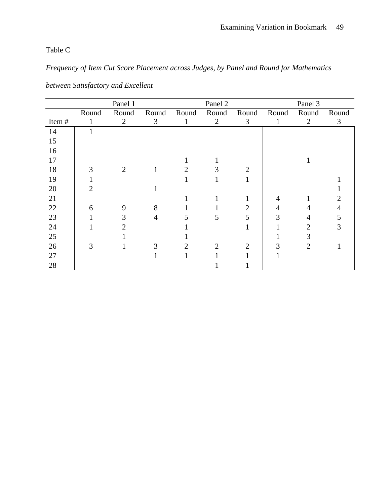Table C

*Frequency of Item Cut Score Placement across Judges, by Panel and Round for Mathematics*

|       |       | Panel 1 |                |                | Panel 2        |                | Panel 3 |                |       |
|-------|-------|---------|----------------|----------------|----------------|----------------|---------|----------------|-------|
|       | Round | Round   | Round          | Round          | Round          | Round          | Round   | Round          | Round |
| Item# |       | 2       | 3              | 1              | $\overline{2}$ | 3              | 1       | $\overline{2}$ | 3     |
| 14    |       |         |                |                |                |                |         |                |       |
| 15    |       |         |                |                |                |                |         |                |       |
| 16    |       |         |                |                |                |                |         |                |       |
| 17    |       |         |                |                |                |                |         |                |       |
| 18    | 3     | 2       | 1              | $\overline{2}$ | 3              | $\overline{2}$ |         |                |       |
| 19    |       |         |                |                |                |                |         |                |       |
| 20    | 2     |         |                |                |                |                |         |                |       |
| 21    |       |         |                |                |                |                | 4       |                |       |
| 22    | 6     | 9       | 8              |                |                | $\overline{2}$ | 4       |                |       |
| 23    |       | 3       | $\overline{4}$ |                | 5              | 5              | 3       |                | 5     |
| 24    |       | 2       |                |                |                |                |         | 2              | 3     |
| 25    |       |         |                |                |                |                |         | 3              |       |
| 26    | 3     |         | 3              | 2              | $\overline{2}$ | 2              |         | $\overline{2}$ |       |
| 27    |       |         |                |                |                |                |         |                |       |
| 28    |       |         |                |                |                |                |         |                |       |

*between Satisfactory and Excellent*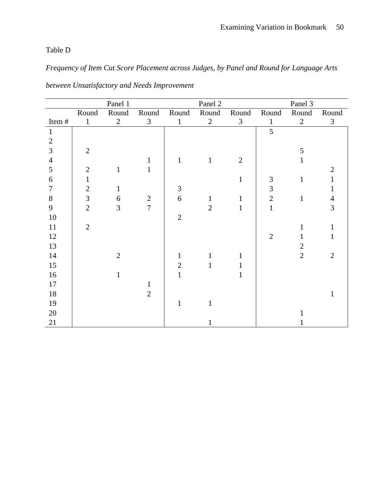# Table D

*Frequency of Item Cut Score Placement across Judges, by Panel and Round for Language Arts* 

|                |                | Panel 1        |                |                | Panel 2        |                | Panel 3        |                |                |
|----------------|----------------|----------------|----------------|----------------|----------------|----------------|----------------|----------------|----------------|
|                | Round          | Round          | Round          | Round          | Round          | Round          | Round          | Round          | Round          |
| Item#          | $\mathbf{1}$   | $\overline{2}$ | $\mathfrak{Z}$ | $\mathbf{1}$   | $\overline{2}$ | $\mathfrak{Z}$ | $\mathbf{1}$   | $\overline{2}$ | $\mathfrak{Z}$ |
| $\mathbf{1}$   |                |                |                |                |                |                | 5              |                |                |
| $\overline{2}$ |                |                |                |                |                |                |                |                |                |
| 3              | $\overline{2}$ |                |                |                |                |                |                | 5              |                |
| $\overline{4}$ |                |                | 1              | $\mathbf{1}$   | $\mathbf{1}$   | $\overline{2}$ |                | 1              |                |
| 5              | $\overline{2}$ |                | 1              |                |                |                |                |                | $\overline{2}$ |
| $6\,$          | $\mathbf{1}$   |                |                |                |                | $\mathbf{1}$   | 3              | $\mathbf{1}$   | 1              |
| $\tau$         | $\sqrt{2}$     | 1              |                | 3              |                |                | 3              |                | 1              |
| $8\,$          | $\overline{3}$ | 6              | $\overline{2}$ | 6              | $\mathbf{1}$   | $\mathbf{1}$   | $\overline{2}$ | $\mathbf{1}$   | $\overline{4}$ |
| $\overline{9}$ | $\overline{2}$ | 3              | $\overline{7}$ |                | $\overline{2}$ | 1              | $\mathbf{1}$   |                | 3              |
| 10             |                |                |                | $\overline{2}$ |                |                |                |                |                |
| 11             | $\overline{2}$ |                |                |                |                |                |                | $\mathbf{1}$   | $\mathbf{1}$   |
| 12             |                |                |                |                |                |                | $\overline{2}$ | $\mathbf{1}$   | $\mathbf{1}$   |
| 13             |                |                |                |                |                |                |                | $\overline{2}$ |                |
| 14             |                | $\mathfrak{2}$ |                | $\mathbf{1}$   | 1              | 1              |                | $\overline{2}$ | $\overline{2}$ |
| 15             |                |                |                | $\overline{2}$ | $\mathbf{1}$   |                |                |                |                |
| 16             |                | 1              |                | 1              |                |                |                |                |                |
| 17             |                |                |                |                |                |                |                |                |                |
| 18             |                |                | $\overline{2}$ |                |                |                |                |                | 1              |
| 19             |                |                |                | 1              |                |                |                |                |                |
| 20             |                |                |                |                |                |                |                |                |                |
| 21             |                |                |                |                |                |                |                |                |                |

*between Unsatisfactory and Needs Improvement*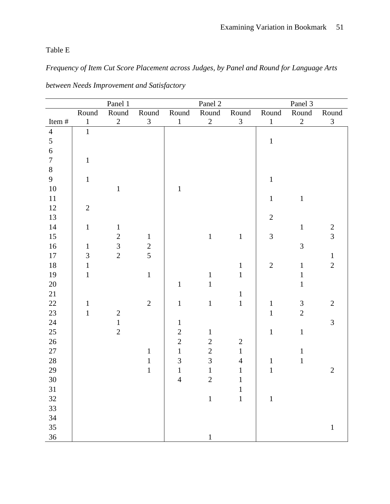Table E

*Frequency of Item Cut Score Placement across Judges, by Panel and Round for Language Arts* 

|                  |                | Panel 1        |                |                | Panel 2        |                | Panel 3        |                             |                    |
|------------------|----------------|----------------|----------------|----------------|----------------|----------------|----------------|-----------------------------|--------------------|
|                  | Round          | Round          | Round          | Round          | Round          | Round          | Round          | Round                       | $\mbox{\bf Round}$ |
| Item #           | $\mathbf 1$    | $\overline{2}$ | $\mathfrak{Z}$ | $\mathbf{1}$   | $\sqrt{2}$     | $\mathfrak{Z}$ | $\mathbf 1$    | $\overline{c}$              | $\mathfrak{Z}$     |
| $\overline{4}$   | $\overline{1}$ |                |                |                |                |                |                |                             |                    |
| 5                |                |                |                |                |                |                | $\,1\,$        |                             |                    |
| $\sqrt{6}$       |                |                |                |                |                |                |                |                             |                    |
| $\boldsymbol{7}$ | $\,1\,$        |                |                |                |                |                |                |                             |                    |
| $8\,$            |                |                |                |                |                |                |                |                             |                    |
| 9                | $\mathbf{1}$   |                |                |                |                |                | $\mathbf 1$    |                             |                    |
| $10\,$           |                | $\,1\,$        |                | $\mathbf{1}$   |                |                |                |                             |                    |
| 11               |                |                |                |                |                |                | $\mathbf{1}$   | $\,1$                       |                    |
| 12               | $\overline{2}$ |                |                |                |                |                |                |                             |                    |
| 13               |                |                |                |                |                |                | $\overline{2}$ |                             |                    |
| 14               | $\,1\,$        | $\mathbf{1}$   |                |                |                |                |                | $\mathbf 1$                 | $\frac{2}{3}$      |
| 15               |                | $\overline{2}$ | $\mathbf{1}$   |                | $\mathbf 1$    | $\mathbf{1}$   | $\overline{3}$ |                             |                    |
| 16               | $\mathbf{1}$   | $\overline{3}$ | $\overline{c}$ |                |                |                |                | $\overline{3}$              |                    |
| $17\,$           | $\mathfrak{Z}$ | $\overline{2}$ | $\overline{5}$ |                |                |                |                |                             | $\mathbf{1}$       |
| 18               | $\mathbf{1}$   |                |                |                |                | $\mathbf{1}$   | $\mathbf{2}$   | $\mathbf{1}$                | $\overline{2}$     |
| 19               | $\mathbf{1}$   |                | $1\,$          |                | $\mathbf{1}$   | $\mathbf{1}$   |                | $1\,$                       |                    |
| $20\,$           |                |                |                | $\mathbf{1}$   | $\mathbf{1}$   |                |                | $\mathbf{1}$                |                    |
| 21               |                |                |                |                |                | $\mathbf{1}$   |                |                             |                    |
| 22               | $\mathbf 1$    |                | $\overline{2}$ | $\mathbf{1}$   | $\mathbf 1$    | $\mathbf 1$    | $\mathbf 1$    | $\ensuremath{\mathfrak{Z}}$ | $\overline{2}$     |
| 23               | $\mathbf{1}$   | $\overline{c}$ |                |                |                |                | $\mathbf{1}$   | $\overline{2}$              |                    |
| 24               |                | $\mathbf{1}$   |                | $\mathbf 1$    |                |                |                |                             | $\mathfrak{Z}$     |
| 25               |                | $\overline{2}$ |                | $\overline{2}$ | $\mathbf{1}$   |                | $\mathbf 1$    | $\,1$                       |                    |
| $26\,$           |                |                |                | $\overline{2}$ | $\sqrt{2}$     | $\mathbf{2}$   |                |                             |                    |
| 27               |                |                | $\mathbf{1}$   | $\mathbf{1}$   | $\overline{2}$ | $\overline{1}$ |                | $\mathbf{1}$                |                    |
| $28\,$           |                |                | $\mathbf 1$    | 3              | $\overline{3}$ | $\overline{4}$ | $\mathbf 1$    | $\mathbf{1}$                |                    |
| 29               |                |                | $\mathbf 1$    | $\mathbf{1}$   | $\mathbf{1}$   | $\,1\,$        | $\mathbf 1$    |                             | $\overline{2}$     |
| 30               |                |                |                | $\overline{4}$ | $\overline{2}$ | $\mathbf{1}$   |                |                             |                    |
| 31               |                |                |                |                |                | $\mathbf{1}$   |                |                             |                    |
| 32               |                |                |                |                | $\mathbf 1$    | $\mathbf 1$    | $\mathbf 1$    |                             |                    |
| 33               |                |                |                |                |                |                |                |                             |                    |
| 34               |                |                |                |                |                |                |                |                             |                    |
| 35               |                |                |                |                |                |                |                |                             | $\mathbf 1$        |
| 36               |                |                |                |                | $\mathbf{1}$   |                |                |                             |                    |

*between Needs Improvement and Satisfactory*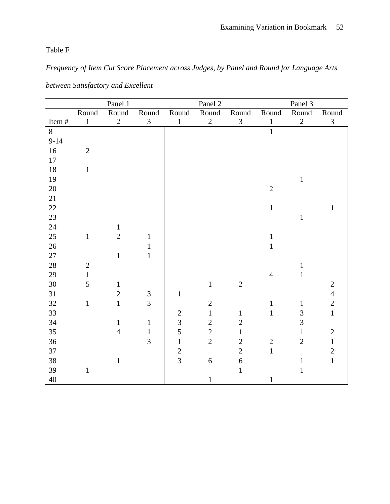Table F

*Frequency of Item Cut Score Placement across Judges, by Panel and Round for Language Arts* 

|        | Panel 1        |                |                             |                | Panel 2          |                | Panel 3        |                |                |
|--------|----------------|----------------|-----------------------------|----------------|------------------|----------------|----------------|----------------|----------------|
|        | Round          | Round          | Round                       | Round          | Round            | Round          | Round          | Round          | Round          |
| Item#  | $\mathbf 1$    | $\overline{2}$ | $\mathfrak{Z}$              | $\,1$          | $\overline{2}$   | 3              | $\mathbf{1}$   | $\overline{2}$ | $\mathfrak{Z}$ |
| 8      |                |                |                             |                |                  |                | $\mathbf{1}$   |                |                |
| $9-14$ |                |                |                             |                |                  |                |                |                |                |
| $16\,$ | $\sqrt{2}$     |                |                             |                |                  |                |                |                |                |
| $17\,$ |                |                |                             |                |                  |                |                |                |                |
| $18\,$ | $\mathbf 1$    |                |                             |                |                  |                |                |                |                |
| 19     |                |                |                             |                |                  |                |                | $\,1$          |                |
| 20     |                |                |                             |                |                  |                | $\sqrt{2}$     |                |                |
| 21     |                |                |                             |                |                  |                |                |                |                |
| 22     |                |                |                             |                |                  |                | $\mathbf 1$    |                | $\mathbf{1}$   |
| 23     |                |                |                             |                |                  |                |                | $\,1\,$        |                |
| 24     |                | $\mathbf{1}$   |                             |                |                  |                |                |                |                |
| 25     | $\mathbf{1}$   | $\sqrt{2}$     | $\mathbf{1}$                |                |                  |                | $\mathbf 1$    |                |                |
| 26     |                |                | $\mathbf{1}$                |                |                  |                | $\mathbf{1}$   |                |                |
| $27\,$ |                | $\mathbf{1}$   | $\mathbf{1}$                |                |                  |                |                |                |                |
| 28     | $\sqrt{2}$     |                |                             |                |                  |                |                | $\mathbf{1}$   |                |
| 29     | $\overline{1}$ |                |                             |                |                  |                | $\overline{4}$ | $\mathbf{1}$   |                |
| 30     | 5              | $\mathbf{1}$   |                             |                | $\mathbf 1$      | $\sqrt{2}$     |                |                | $\sqrt{2}$     |
| 31     |                | $\overline{2}$ | $\ensuremath{\mathfrak{Z}}$ | $\mathbf{1}$   |                  |                |                |                | $\overline{4}$ |
| 32     | $\mathbf 1$    | $\mathbf{1}$   | $\overline{3}$              |                | $\sqrt{2}$       |                | $\,1\,$        | $\,1\,$        | $\overline{c}$ |
| 33     |                |                |                             | $\sqrt{2}$     | $\mathbf{1}$     | $\mathbf{1}$   | $\mathbf{1}$   | $\overline{3}$ | $\mathbf{1}$   |
| 34     |                | $\mathbf{1}$   | $\mathbf{1}$                | $\overline{3}$ | $\overline{2}$   | $\overline{2}$ |                | $\overline{3}$ |                |
| 35     |                | $\overline{4}$ | $\mathbf{1}$                | 5              | $\overline{2}$   | $\mathbf{1}$   |                | $\mathbf{1}$   | $\sqrt{2}$     |
| 36     |                |                | $\overline{3}$              | $\mathbf 1$    | $\overline{2}$   | $\overline{c}$ | $\sqrt{2}$     | $\overline{2}$ | $\,1\,$        |
| 37     |                |                |                             | $\overline{c}$ |                  | $\overline{2}$ | $\mathbf{1}$   |                | $\overline{2}$ |
| 38     |                | $\,1$          |                             | $\overline{3}$ | $\boldsymbol{6}$ | $\overline{6}$ |                | $\,1\,$        | $\mathbf{1}$   |
| 39     | $\mathbf{1}$   |                |                             |                |                  | $\mathbf{1}$   |                | $\,1$          |                |
| 40     |                |                |                             |                | $\,1\,$          |                | $\,1$          |                |                |

*between Satisfactory and Excellent*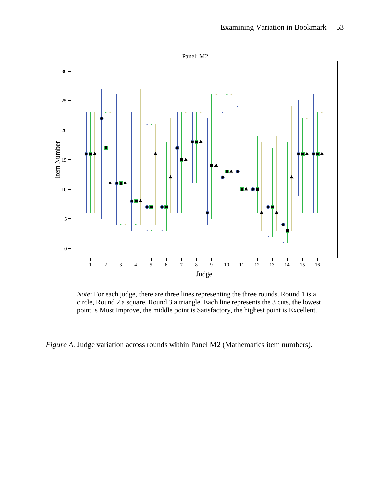

*Figure A*. Judge variation across rounds within Panel M2 (Mathematics item numbers).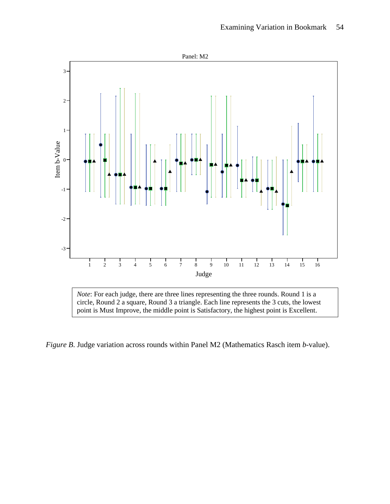

*Figure B*. Judge variation across rounds within Panel M2 (Mathematics Rasch item *b-*value).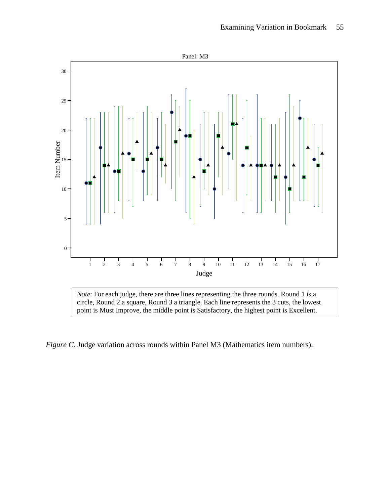

point is Must Improve, the middle point is Satisfactory, the highest point is Excellent.

*Figure C*. Judge variation across rounds within Panel M3 (Mathematics item numbers).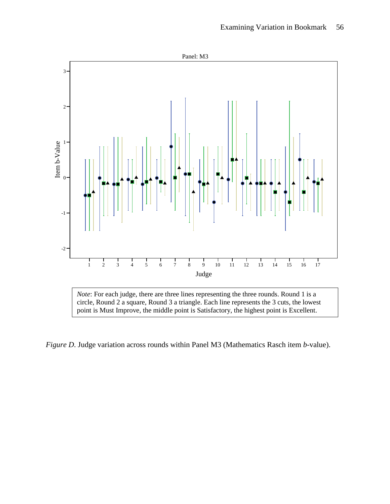

point is Must Improve, the middle point is Satisfactory, the highest point is Excellent.

*Figure D*. Judge variation across rounds within Panel M3 (Mathematics Rasch item *b*-value).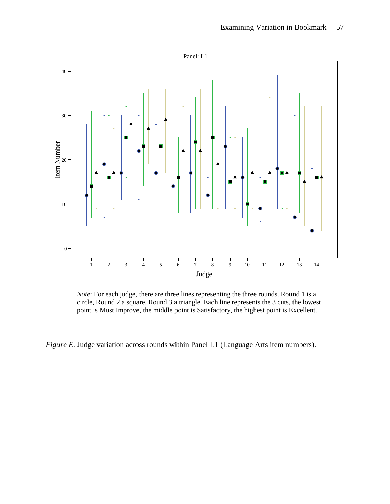

*Figure E*. Judge variation across rounds within Panel L1 (Language Arts item numbers).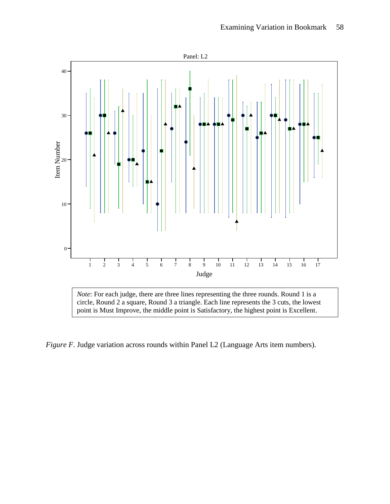

*Figure F*. Judge variation across rounds within Panel L2 (Language Arts item numbers).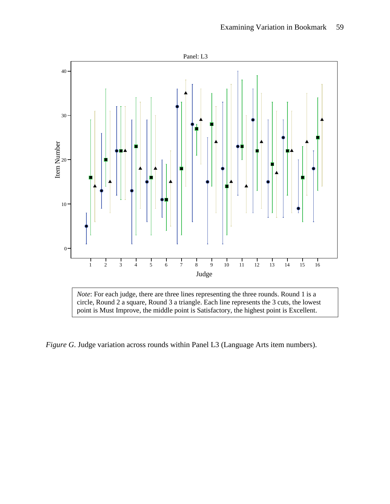

point is Must Improve, the middle point is Satisfactory, the highest point is Excellent.

*Figure G*. Judge variation across rounds within Panel L3 (Language Arts item numbers).